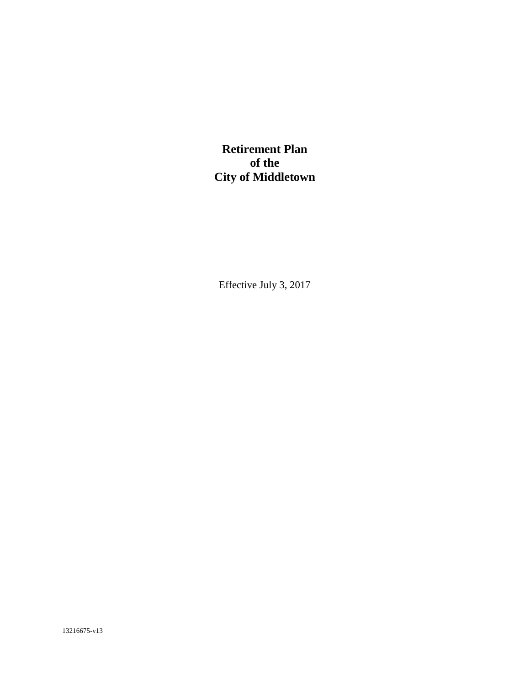**Retirement Plan of the City of Middletown**

Effective July 3, 2017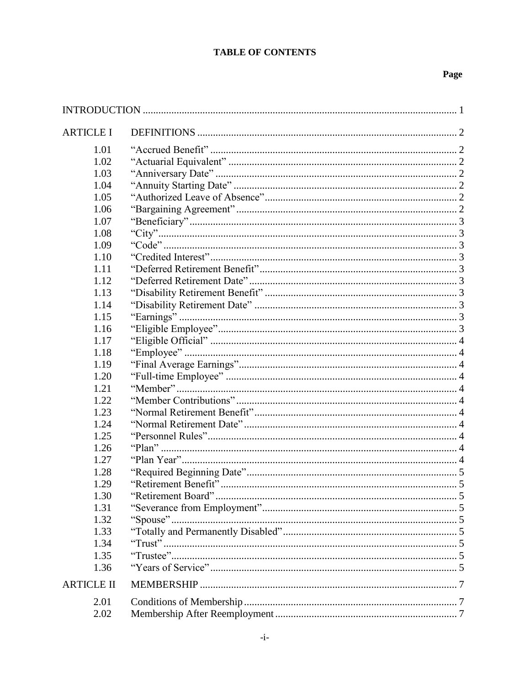## **TABLE OF CONTENTS**

## Page

| <b>ARTICLE I</b>  |  |  |
|-------------------|--|--|
| 1.01              |  |  |
| 1.02              |  |  |
| 1.03              |  |  |
| 1.04              |  |  |
| 1.05              |  |  |
| 1.06              |  |  |
| 1.07              |  |  |
| 1.08              |  |  |
| 1.09              |  |  |
| 1.10              |  |  |
| 1.11              |  |  |
| 1.12              |  |  |
| 1.13              |  |  |
| 1.14              |  |  |
| 1.15              |  |  |
| 1.16              |  |  |
| 1.17              |  |  |
| 1.18              |  |  |
| 1.19              |  |  |
| 1.20              |  |  |
| 1.21              |  |  |
| 1.22              |  |  |
| 1.23              |  |  |
| 1.24              |  |  |
| 1.25              |  |  |
| 1.26              |  |  |
| 1.27              |  |  |
| 1.28              |  |  |
| 1.29              |  |  |
| 1.30              |  |  |
| 1.31              |  |  |
| 1.32              |  |  |
| 1.33              |  |  |
| 1.34              |  |  |
| 1.35              |  |  |
| 1.36              |  |  |
| <b>ARTICLE II</b> |  |  |
| 2.01              |  |  |
| 2.02              |  |  |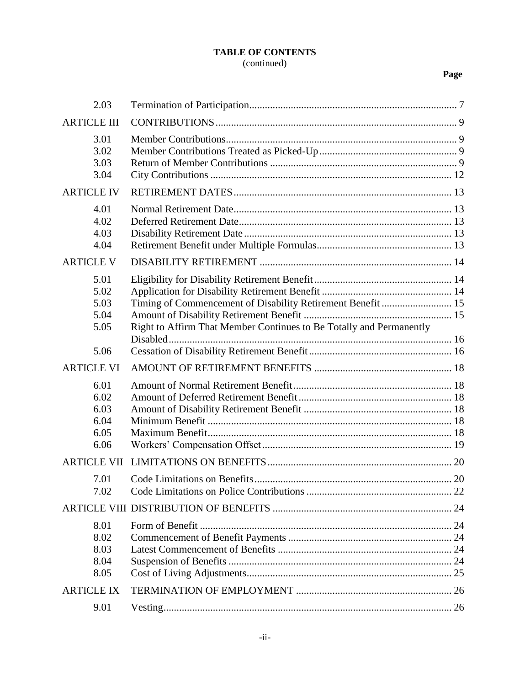### **TABLE OF CONTENTS** (continued)

## **Page**

| 2.03                                         |                                                                                                                                    |  |
|----------------------------------------------|------------------------------------------------------------------------------------------------------------------------------------|--|
| <b>ARTICLE III</b>                           |                                                                                                                                    |  |
| 3.01<br>3.02<br>3.03<br>3.04                 |                                                                                                                                    |  |
| <b>ARTICLE IV</b>                            |                                                                                                                                    |  |
| 4.01<br>4.02<br>4.03<br>4.04                 |                                                                                                                                    |  |
| <b>ARTICLE V</b>                             |                                                                                                                                    |  |
| 5.01<br>5.02<br>5.03<br>5.04<br>5.05         | Timing of Commencement of Disability Retirement Benefit  15<br>Right to Affirm That Member Continues to Be Totally and Permanently |  |
| 5.06                                         |                                                                                                                                    |  |
| <b>ARTICLE VI</b>                            |                                                                                                                                    |  |
| 6.01<br>6.02<br>6.03<br>6.04<br>6.05<br>6.06 |                                                                                                                                    |  |
| <b>ARTICLE VII</b>                           |                                                                                                                                    |  |
| 7.01<br>7.02                                 |                                                                                                                                    |  |
|                                              |                                                                                                                                    |  |
| 8.01<br>8.02<br>8.03<br>8.04<br>8.05         |                                                                                                                                    |  |
| <b>ARTICLE IX</b>                            |                                                                                                                                    |  |
| 9.01                                         |                                                                                                                                    |  |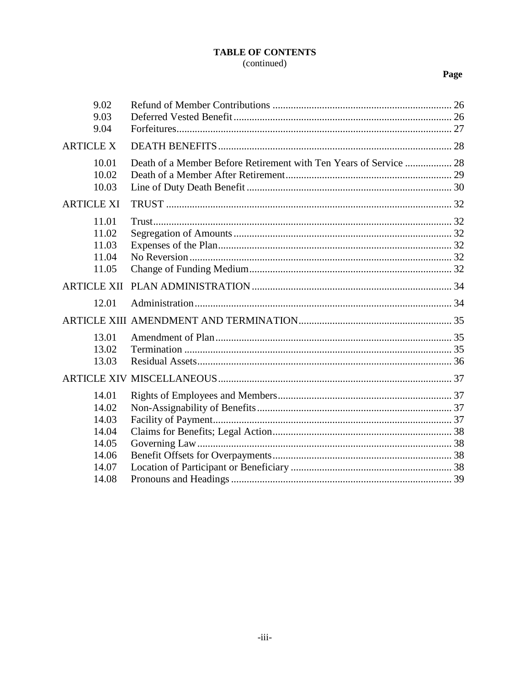# **TABLE OF CONTENTS**

## (continued)

## Page

| 9.02<br>9.03<br>9.04                                        |                                                                   |  |
|-------------------------------------------------------------|-------------------------------------------------------------------|--|
| <b>ARTICLE X</b>                                            |                                                                   |  |
| 10.01<br>10.02<br>10.03                                     | Death of a Member Before Retirement with Ten Years of Service  28 |  |
| <b>ARTICLE XI</b>                                           |                                                                   |  |
| 11.01<br>11.02<br>11.03<br>11.04<br>11.05                   |                                                                   |  |
|                                                             |                                                                   |  |
| 12.01                                                       |                                                                   |  |
|                                                             |                                                                   |  |
| 13.01<br>13.02<br>13.03                                     |                                                                   |  |
|                                                             |                                                                   |  |
| 14.01<br>14.02<br>14.03<br>14.04<br>14.05<br>14.06<br>14.07 |                                                                   |  |
| 14.08                                                       |                                                                   |  |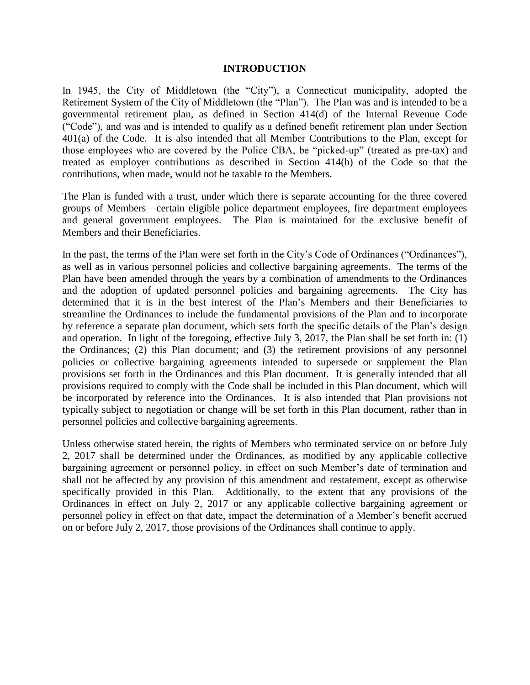#### <span id="page-4-0"></span>**INTRODUCTION**

In 1945, the City of Middletown (the "City"), a Connecticut municipality, adopted the Retirement System of the City of Middletown (the "Plan"). The Plan was and is intended to be a governmental retirement plan, as defined in Section 414(d) of the Internal Revenue Code ("Code"), and was and is intended to qualify as a defined benefit retirement plan under Section 401(a) of the Code. It is also intended that all Member Contributions to the Plan, except for those employees who are covered by the Police CBA, be "picked-up" (treated as pre-tax) and treated as employer contributions as described in Section 414(h) of the Code so that the contributions, when made, would not be taxable to the Members.

The Plan is funded with a trust, under which there is separate accounting for the three covered groups of Members—certain eligible police department employees, fire department employees and general government employees. The Plan is maintained for the exclusive benefit of Members and their Beneficiaries.

In the past, the terms of the Plan were set forth in the City's Code of Ordinances ("Ordinances"), as well as in various personnel policies and collective bargaining agreements. The terms of the Plan have been amended through the years by a combination of amendments to the Ordinances and the adoption of updated personnel policies and bargaining agreements. The City has determined that it is in the best interest of the Plan's Members and their Beneficiaries to streamline the Ordinances to include the fundamental provisions of the Plan and to incorporate by reference a separate plan document, which sets forth the specific details of the Plan's design and operation. In light of the foregoing, effective July 3, 2017, the Plan shall be set forth in: (1) the Ordinances; (2) this Plan document; and (3) the retirement provisions of any personnel policies or collective bargaining agreements intended to supersede or supplement the Plan provisions set forth in the Ordinances and this Plan document. It is generally intended that all provisions required to comply with the Code shall be included in this Plan document, which will be incorporated by reference into the Ordinances. It is also intended that Plan provisions not typically subject to negotiation or change will be set forth in this Plan document, rather than in personnel policies and collective bargaining agreements.

Unless otherwise stated herein, the rights of Members who terminated service on or before July 2, 2017 shall be determined under the Ordinances, as modified by any applicable collective bargaining agreement or personnel policy, in effect on such Member's date of termination and shall not be affected by any provision of this amendment and restatement, except as otherwise specifically provided in this Plan. Additionally, to the extent that any provisions of the Ordinances in effect on July 2, 2017 or any applicable collective bargaining agreement or personnel policy in effect on that date, impact the determination of a Member's benefit accrued on or before July 2, 2017, those provisions of the Ordinances shall continue to apply.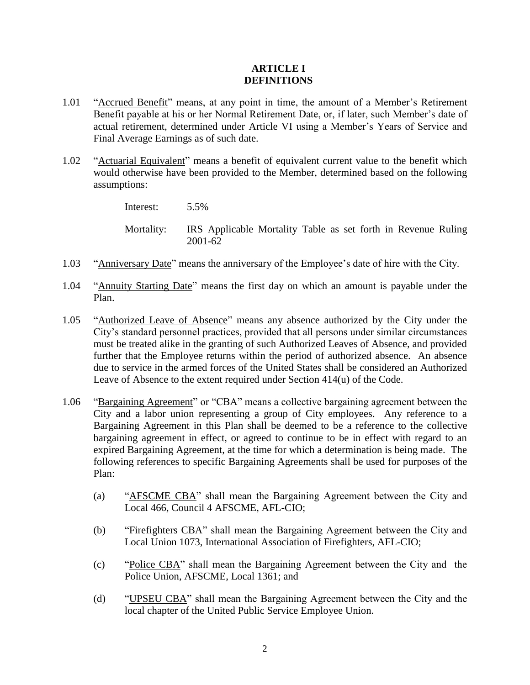### <span id="page-5-1"></span><span id="page-5-0"></span>**ARTICLE I DEFINITIONS**

- 1.01 "Accrued Benefit" means, at any point in time, the amount of a Member's Retirement Benefit payable at his or her Normal Retirement Date, or, if later, such Member's date of actual retirement, determined under [Article VI](#page-21-6) using a Member's Years of Service and Final Average Earnings as of such date.
- 1.02 "Actuarial Equivalent" means a benefit of equivalent current value to the benefit which would otherwise have been provided to the Member, determined based on the following assumptions:

<span id="page-5-2"></span>Interest: 5.5%

<span id="page-5-5"></span><span id="page-5-4"></span><span id="page-5-3"></span>Mortality: IRS Applicable Mortality Table as set forth in Revenue Ruling 2001-62

- 1.03 "Anniversary Date" means the anniversary of the Employee's date of hire with the City.
- 1.04 "Annuity Starting Date" means the first day on which an amount is payable under the Plan.
- 1.05 "Authorized Leave of Absence" means any absence authorized by the City under the City's standard personnel practices, provided that all persons under similar circumstances must be treated alike in the granting of such Authorized Leaves of Absence, and provided further that the Employee returns within the period of authorized absence. An absence due to service in the armed forces of the United States shall be considered an Authorized Leave of Absence to the extent required under Section 414(u) of the Code.
- <span id="page-5-6"></span>1.06 "Bargaining Agreement" or "CBA" means a collective bargaining agreement between the City and a labor union representing a group of City employees. Any reference to a Bargaining Agreement in this Plan shall be deemed to be a reference to the collective bargaining agreement in effect, or agreed to continue to be in effect with regard to an expired Bargaining Agreement, at the time for which a determination is being made. The following references to specific Bargaining Agreements shall be used for purposes of the Plan:
	- (a) "AFSCME CBA" shall mean the Bargaining Agreement between the City and Local 466, Council 4 AFSCME, AFL-CIO;
	- (b) "Firefighters CBA" shall mean the Bargaining Agreement between the City and Local Union 1073, International Association of Firefighters, AFL-CIO;
	- (c) "Police CBA" shall mean the Bargaining Agreement between the City and the Police Union, AFSCME, Local 1361; and
	- (d) "UPSEU CBA" shall mean the Bargaining Agreement between the City and the local chapter of the United Public Service Employee Union.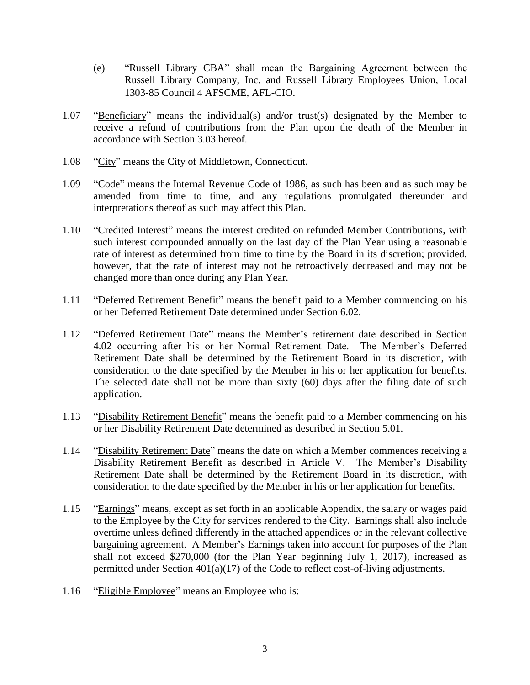- <span id="page-6-0"></span>(e) "Russell Library CBA" shall mean the Bargaining Agreement between the Russell Library Company, Inc. and Russell Library Employees Union, Local 1303-85 Council 4 AFSCME, AFL-CIO.
- 1.07 "Beneficiary" means the individual(s) and/or trust(s) designated by the Member to receive a refund of contributions from the Plan upon the death of the Member in accordance with Section [3.03](#page-12-4) hereof.
- <span id="page-6-1"></span>1.08 "City" means the City of Middletown, Connecticut.
- <span id="page-6-2"></span>1.09 "Code" means the Internal Revenue Code of 1986, as such has been and as such may be amended from time to time, and any regulations promulgated thereunder and interpretations thereof as such may affect this Plan.
- <span id="page-6-3"></span>1.10 "Credited Interest" means the interest credited on refunded Member Contributions, with such interest compounded annually on the last day of the Plan Year using a reasonable rate of interest as determined from time to time by the Board in its discretion; provided, however, that the rate of interest may not be retroactively decreased and may not be changed more than once during any Plan Year.
- <span id="page-6-4"></span>1.11 "Deferred Retirement Benefit" means the benefit paid to a Member commencing on his or her Deferred Retirement Date determined under Section [6.02.](#page-21-7)
- <span id="page-6-5"></span>1.12 "Deferred Retirement Date" means the Member's retirement date described in Section [4.02](#page-16-5) occurring after his or her Normal Retirement Date. The Member's Deferred Retirement Date shall be determined by the Retirement Board in its discretion, with consideration to the date specified by the Member in his or her application for benefits. The selected date shall not be more than sixty (60) days after the filing date of such application.
- <span id="page-6-6"></span>1.13 "Disability Retirement Benefit" means the benefit paid to a Member commencing on his or her Disability Retirement Date determined as described in Section [5.01.](#page-17-3)
- <span id="page-6-7"></span>1.14 "Disability Retirement Date" means the date on which a Member commences receiving a Disability Retirement Benefit as described in [Article V.](#page-17-4) The Member's Disability Retirement Date shall be determined by the Retirement Board in its discretion, with consideration to the date specified by the Member in his or her application for benefits.
- <span id="page-6-8"></span>1.15 "Earnings" means, except as set forth in an applicable Appendix, the salary or wages paid to the Employee by the City for services rendered to the City. Earnings shall also include overtime unless defined differently in the attached appendices or in the relevant collective bargaining agreement. A Member's Earnings taken into account for purposes of the Plan shall not exceed \$270,000 (for the Plan Year beginning July 1, 2017), increased as permitted under Section 401(a)(17) of the Code to reflect cost-of-living adjustments.
- <span id="page-6-9"></span>1.16 "Eligible Employee" means an Employee who is: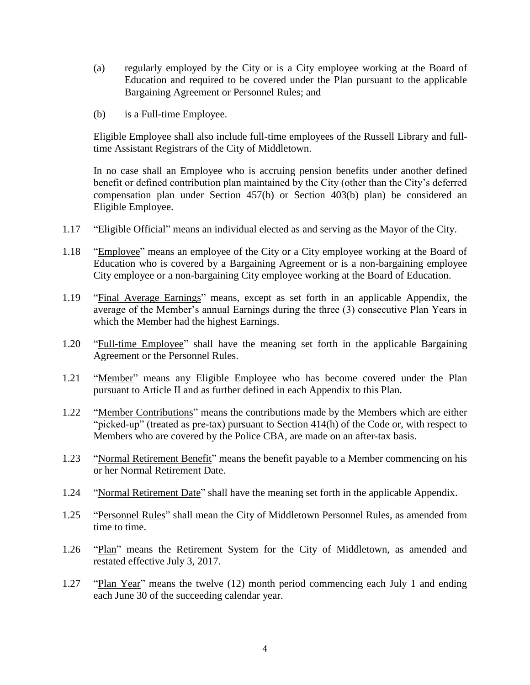- (a) regularly employed by the City or is a City employee working at the Board of Education and required to be covered under the Plan pursuant to the applicable Bargaining Agreement or Personnel Rules; and
- (b) is a Full-time Employee.

Eligible Employee shall also include full-time employees of the Russell Library and fulltime Assistant Registrars of the City of Middletown.

<span id="page-7-0"></span>In no case shall an Employee who is accruing pension benefits under another defined benefit or defined contribution plan maintained by the City (other than the City's deferred compensation plan under Section 457(b) or Section 403(b) plan) be considered an Eligible Employee.

- 1.17 "Eligible Official" means an individual elected as and serving as the Mayor of the City.
- <span id="page-7-1"></span>1.18 "Employee" means an employee of the City or a City employee working at the Board of Education who is covered by a Bargaining Agreement or is a non-bargaining employee City employee or a non-bargaining City employee working at the Board of Education.
- <span id="page-7-11"></span><span id="page-7-2"></span>1.19 "Final Average Earnings" means, except as set forth in an applicable Appendix, the average of the Member's annual Earnings during the three (3) consecutive Plan Years in which the Member had the highest Earnings.
- <span id="page-7-3"></span>1.20 "Full-time Employee" shall have the meaning set forth in the applicable Bargaining Agreement or the Personnel Rules.
- <span id="page-7-4"></span>1.21 "Member" means any Eligible Employee who has become covered under the Plan pursuant to [Article II](#page-10-4) and as further defined in each Appendix to this Plan.
- <span id="page-7-5"></span>1.22 "Member Contributions" means the contributions made by the Members which are either "picked-up" (treated as pre-tax) pursuant to Section 414(h) of the Code or, with respect to Members who are covered by the Police CBA, are made on an after-tax basis.
- <span id="page-7-6"></span>1.23 "Normal Retirement Benefit" means the benefit payable to a Member commencing on his or her Normal Retirement Date.
- <span id="page-7-7"></span>1.24 "Normal Retirement Date" shall have the meaning set forth in the applicable Appendix.
- <span id="page-7-8"></span>1.25 "Personnel Rules" shall mean the City of Middletown Personnel Rules, as amended from time to time.
- <span id="page-7-9"></span>1.26 "Plan" means the Retirement System for the City of Middletown, as amended and restated effective July 3, 2017.
- <span id="page-7-10"></span>1.27 "Plan Year" means the twelve (12) month period commencing each July 1 and ending each June 30 of the succeeding calendar year.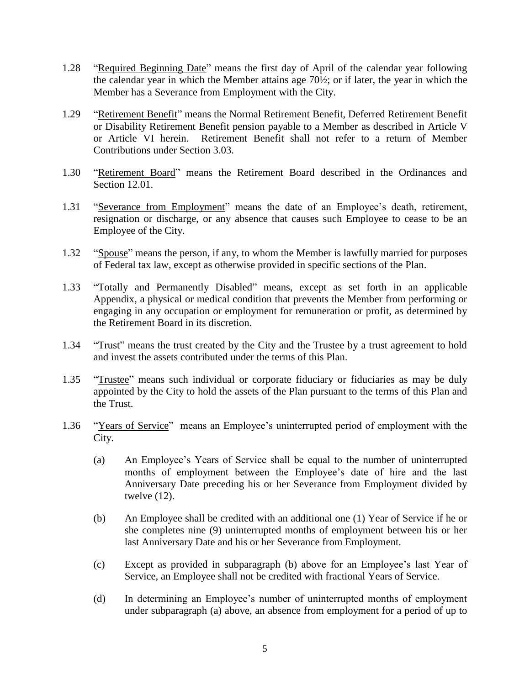- <span id="page-8-0"></span>1.28 "Required Beginning Date" means the first day of April of the calendar year following the calendar year in which the Member attains age 70½; or if later, the year in which the Member has a Severance from Employment with the City.
- <span id="page-8-1"></span>1.29 "Retirement Benefit" means the Normal Retirement Benefit, Deferred Retirement Benefit or Disability Retirement Benefit pension payable to a Member as described in [Article V](#page-17-4) or [Article VI](#page-21-6) herein. Retirement Benefit shall not refer to a return of Member Contributions under Section [3.03.](#page-12-4)
- <span id="page-8-2"></span>1.30 "Retirement Board" means the Retirement Board described in the Ordinances and Section [12.01.](#page-37-2)
- <span id="page-8-3"></span>1.31 "Severance from Employment" means the date of an Employee's death, retirement, resignation or discharge, or any absence that causes such Employee to cease to be an Employee of the City.
- <span id="page-8-4"></span>1.32 "Spouse" means the person, if any, to whom the Member is lawfully married for purposes of Federal tax law, except as otherwise provided in specific sections of the Plan.
- <span id="page-8-12"></span><span id="page-8-5"></span>1.33 "Totally and Permanently Disabled" means, except as set forth in an applicable Appendix, a physical or medical condition that prevents the Member from performing or engaging in any occupation or employment for remuneration or profit, as determined by the Retirement Board in its discretion.
- <span id="page-8-6"></span>1.34 "Trust" means the trust created by the City and the Trustee by a trust agreement to hold and invest the assets contributed under the terms of this Plan.
- <span id="page-8-7"></span>1.35 "Trustee" means such individual or corporate fiduciary or fiduciaries as may be duly appointed by the City to hold the assets of the Plan pursuant to the terms of this Plan and the Trust.
- <span id="page-8-13"></span><span id="page-8-11"></span><span id="page-8-10"></span><span id="page-8-9"></span><span id="page-8-8"></span>1.36 "Years of Service" means an Employee's uninterrupted period of employment with the City.
	- (a) An Employee's Years of Service shall be equal to the number of uninterrupted months of employment between the Employee's date of hire and the last Anniversary Date preceding his or her Severance from Employment divided by twelve (12).
	- (b) An Employee shall be credited with an additional one (1) Year of Service if he or she completes nine (9) uninterrupted months of employment between his or her last Anniversary Date and his or her Severance from Employment.
	- (c) Except as provided in subparagraph [\(b\)](#page-8-9) above for an Employee's last Year of Service, an Employee shall not be credited with fractional Years of Service.
	- (d) In determining an Employee's number of uninterrupted months of employment under subparagraph [\(a\)](#page-8-10) above, an absence from employment for a period of up to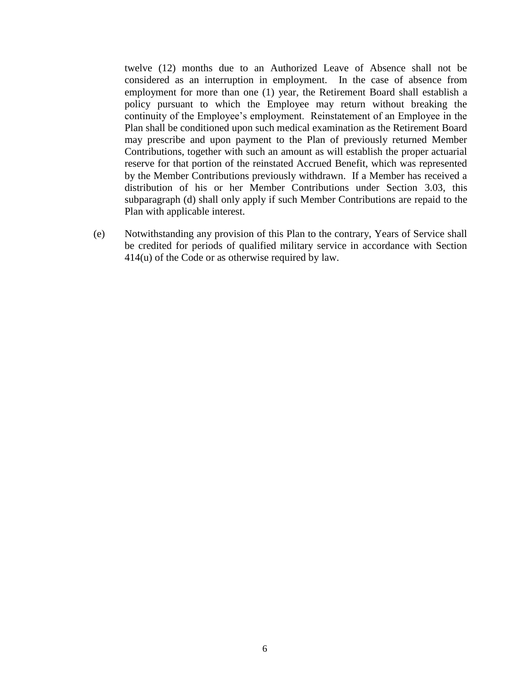twelve (12) months due to an Authorized Leave of Absence shall not be considered as an interruption in employment. In the case of absence from employment for more than one (1) year, the Retirement Board shall establish a policy pursuant to which the Employee may return without breaking the continuity of the Employee's employment. Reinstatement of an Employee in the Plan shall be conditioned upon such medical examination as the Retirement Board may prescribe and upon payment to the Plan of previously returned Member Contributions, together with such an amount as will establish the proper actuarial reserve for that portion of the reinstated Accrued Benefit, which was represented by the Member Contributions previously withdrawn. If a Member has received a distribution of his or her Member Contributions under Section [3.03,](#page-12-4) this subparagraph [\(d\)](#page-8-11) shall only apply if such Member Contributions are repaid to the Plan with applicable interest.

(e) Notwithstanding any provision of this Plan to the contrary, Years of Service shall be credited for periods of qualified military service in accordance with Section 414(u) of the Code or as otherwise required by law.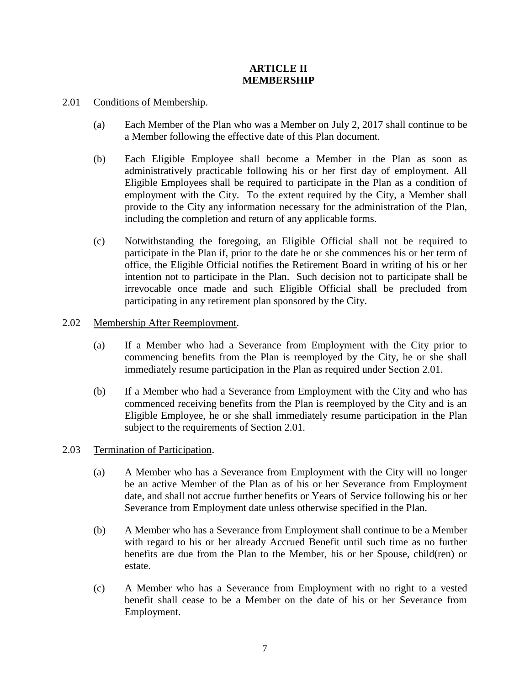## <span id="page-10-1"></span><span id="page-10-0"></span>**ARTICLE II MEMBERSHIP**

## <span id="page-10-5"></span><span id="page-10-4"></span>2.01 Conditions of Membership.

- (a) Each Member of the Plan who was a Member on July 2, 2017 shall continue to be a Member following the effective date of this Plan document.
- (b) Each Eligible Employee shall become a Member in the Plan as soon as administratively practicable following his or her first day of employment. All Eligible Employees shall be required to participate in the Plan as a condition of employment with the City. To the extent required by the City, a Member shall provide to the City any information necessary for the administration of the Plan, including the completion and return of any applicable forms.
- (c) Notwithstanding the foregoing, an Eligible Official shall not be required to participate in the Plan if, prior to the date he or she commences his or her term of office, the Eligible Official notifies the Retirement Board in writing of his or her intention not to participate in the Plan. Such decision not to participate shall be irrevocable once made and such Eligible Official shall be precluded from participating in any retirement plan sponsored by the City.

### 2.02 Membership After Reemployment.

- <span id="page-10-2"></span>(a) If a Member who had a Severance from Employment with the City prior to commencing benefits from the Plan is reemployed by the City, he or she shall immediately resume participation in the Plan as required under Section [2.01.](#page-10-5)
- <span id="page-10-3"></span>(b) If a Member who had a Severance from Employment with the City and who has commenced receiving benefits from the Plan is reemployed by the City and is an Eligible Employee, he or she shall immediately resume participation in the Plan subject to the requirements of Section [2.01.](#page-10-5)
- 2.03 Termination of Participation.
	- (a) A Member who has a Severance from Employment with the City will no longer be an active Member of the Plan as of his or her Severance from Employment date, and shall not accrue further benefits or Years of Service following his or her Severance from Employment date unless otherwise specified in the Plan.
	- (b) A Member who has a Severance from Employment shall continue to be a Member with regard to his or her already Accrued Benefit until such time as no further benefits are due from the Plan to the Member, his or her Spouse, child(ren) or estate.
	- (c) A Member who has a Severance from Employment with no right to a vested benefit shall cease to be a Member on the date of his or her Severance from Employment.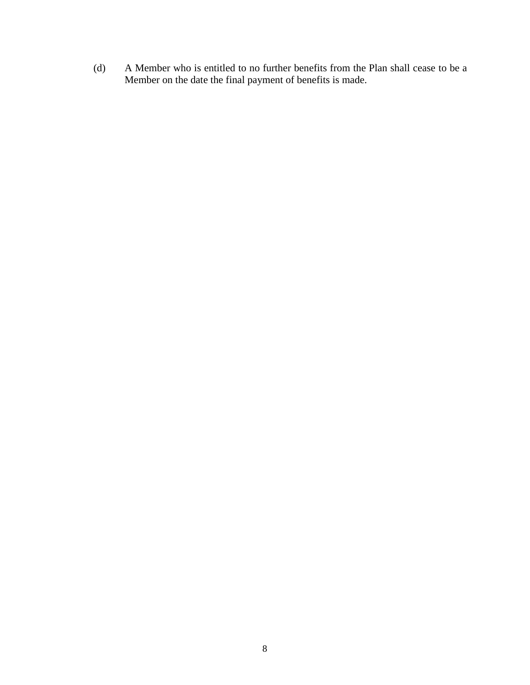(d) A Member who is entitled to no further benefits from the Plan shall cease to be a Member on the date the final payment of benefits is made.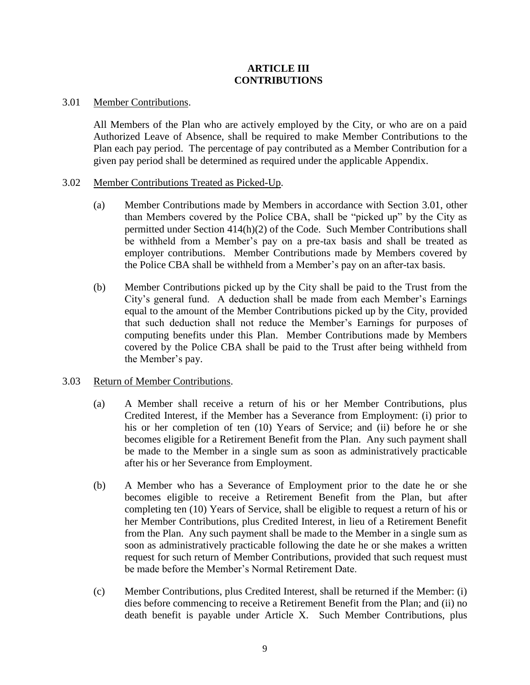## <span id="page-12-2"></span><span id="page-12-1"></span><span id="page-12-0"></span>**ARTICLE III CONTRIBUTIONS**

### <span id="page-12-5"></span>3.01 Member Contributions.

All Members of the Plan who are actively employed by the City, or who are on a paid Authorized Leave of Absence, shall be required to make Member Contributions to the Plan each pay period. The percentage of pay contributed as a Member Contribution for a given pay period shall be determined as required under the applicable Appendix.

## 3.02 Member Contributions Treated as Picked-Up.

- (a) Member Contributions made by Members in accordance with Section [3.01,](#page-12-5) other than Members covered by the Police CBA, shall be "picked up" by the City as permitted under Section 414(h)(2) of the Code. Such Member Contributions shall be withheld from a Member's pay on a pre-tax basis and shall be treated as employer contributions. Member Contributions made by Members covered by the Police CBA shall be withheld from a Member's pay on an after-tax basis.
- (b) Member Contributions picked up by the City shall be paid to the Trust from the City's general fund. A deduction shall be made from each Member's Earnings equal to the amount of the Member Contributions picked up by the City, provided that such deduction shall not reduce the Member's Earnings for purposes of computing benefits under this Plan. Member Contributions made by Members covered by the Police CBA shall be paid to the Trust after being withheld from the Member's pay.

### <span id="page-12-4"></span>3.03 Return of Member Contributions.

- <span id="page-12-3"></span>(a) A Member shall receive a return of his or her Member Contributions, plus Credited Interest, if the Member has a Severance from Employment: (i) prior to his or her completion of ten (10) Years of Service; and (ii) before he or she becomes eligible for a Retirement Benefit from the Plan. Any such payment shall be made to the Member in a single sum as soon as administratively practicable after his or her Severance from Employment.
- <span id="page-12-6"></span>(b) A Member who has a Severance of Employment prior to the date he or she becomes eligible to receive a Retirement Benefit from the Plan, but after completing ten (10) Years of Service, shall be eligible to request a return of his or her Member Contributions, plus Credited Interest, in lieu of a Retirement Benefit from the Plan. Any such payment shall be made to the Member in a single sum as soon as administratively practicable following the date he or she makes a written request for such return of Member Contributions, provided that such request must be made before the Member's Normal Retirement Date.
- (c) Member Contributions, plus Credited Interest, shall be returned if the Member: (i) dies before commencing to receive a Retirement Benefit from the Plan; and (ii) no death benefit is payable under [Article X.](#page-31-2) Such Member Contributions, plus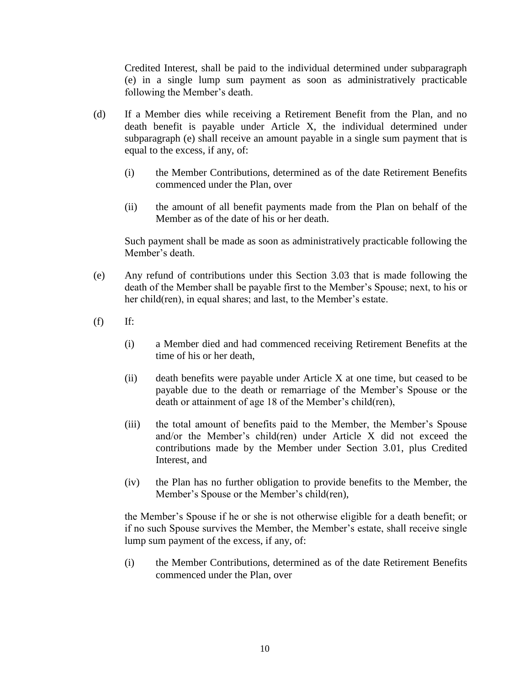Credited Interest, shall be paid to the individual determined under subparagraph [\(e\)](#page-13-0) in a single lump sum payment as soon as administratively practicable following the Member's death.

- (d) If a Member dies while receiving a Retirement Benefit from the Plan, and no death benefit is payable under [Article X,](#page-31-2) the individual determined under subparagraph [\(e\)](#page-13-0) shall receive an amount payable in a single sum payment that is equal to the excess, if any, of:
	- (i) the Member Contributions, determined as of the date Retirement Benefits commenced under the Plan, over
	- (ii) the amount of all benefit payments made from the Plan on behalf of the Member as of the date of his or her death.

Such payment shall be made as soon as administratively practicable following the Member's death.

- <span id="page-13-0"></span>(e) Any refund of contributions under this Section [3.03](#page-12-4) that is made following the death of the Member shall be payable first to the Member's Spouse; next, to his or her child(ren), in equal shares; and last, to the Member's estate.
- $(f)$  If:
	- (i) a Member died and had commenced receiving Retirement Benefits at the time of his or her death,
	- (ii) death benefits were payable under [Article X](#page-31-2) at one time, but ceased to be payable due to the death or remarriage of the Member's Spouse or the death or attainment of age 18 of the Member's child(ren),
	- (iii) the total amount of benefits paid to the Member, the Member's Spouse and/or the Member's child(ren) under [Article X](#page-31-2) did not exceed the contributions made by the Member under Section [3.01,](#page-12-5) plus Credited Interest, and
	- (iv) the Plan has no further obligation to provide benefits to the Member, the Member's Spouse or the Member's child(ren),

the Member's Spouse if he or she is not otherwise eligible for a death benefit; or if no such Spouse survives the Member, the Member's estate, shall receive single lump sum payment of the excess, if any, of:

(i) the Member Contributions, determined as of the date Retirement Benefits commenced under the Plan, over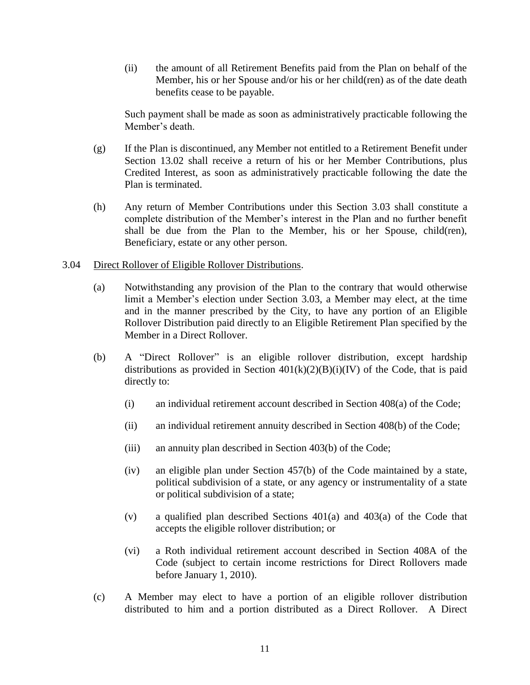(ii) the amount of all Retirement Benefits paid from the Plan on behalf of the Member, his or her Spouse and/or his or her child(ren) as of the date death benefits cease to be payable.

Such payment shall be made as soon as administratively practicable following the Member's death.

- (g) If the Plan is discontinued, any Member not entitled to a Retirement Benefit under Section [13.02](#page-38-3) shall receive a return of his or her Member Contributions, plus Credited Interest, as soon as administratively practicable following the date the Plan is terminated.
- (h) Any return of Member Contributions under this Section [3.03](#page-12-4) shall constitute a complete distribution of the Member's interest in the Plan and no further benefit shall be due from the Plan to the Member, his or her Spouse, child(ren), Beneficiary, estate or any other person.

### 3.04 Direct Rollover of Eligible Rollover Distributions.

- (a) Notwithstanding any provision of the Plan to the contrary that would otherwise limit a Member's election under Section 3.03, a Member may elect, at the time and in the manner prescribed by the City, to have any portion of an Eligible Rollover Distribution paid directly to an Eligible Retirement Plan specified by the Member in a Direct Rollover.
- (b) A "Direct Rollover" is an eligible rollover distribution, except hardship distributions as provided in Section  $401(k)(2)(B)(i)(IV)$  of the Code, that is paid directly to:
	- (i) an individual retirement account described in Section 408(a) of the Code;
	- (ii) an individual retirement annuity described in Section 408(b) of the Code;
	- (iii) an annuity plan described in Section 403(b) of the Code;
	- (iv) an eligible plan under Section 457(b) of the Code maintained by a state, political subdivision of a state, or any agency or instrumentality of a state or political subdivision of a state;
	- (v) a qualified plan described Sections 401(a) and 403(a) of the Code that accepts the eligible rollover distribution; or
	- (vi) a Roth individual retirement account described in Section 408A of the Code (subject to certain income restrictions for Direct Rollovers made before January 1, 2010).
- (c) A Member may elect to have a portion of an eligible rollover distribution distributed to him and a portion distributed as a Direct Rollover. A Direct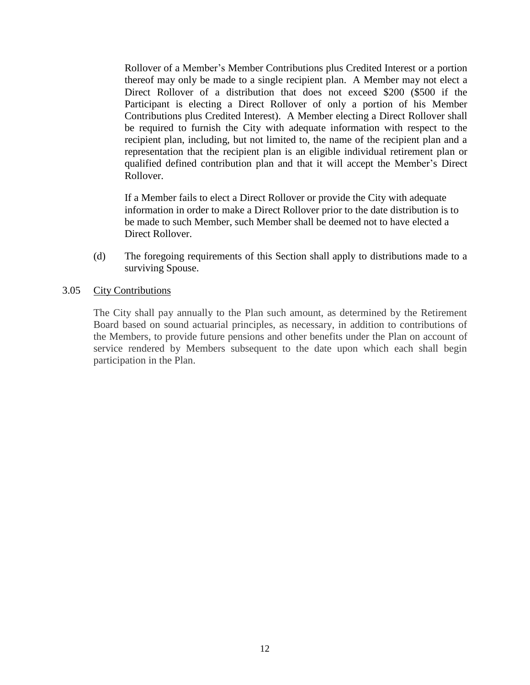Rollover of a Member's Member Contributions plus Credited Interest or a portion thereof may only be made to a single recipient plan. A Member may not elect a Direct Rollover of a distribution that does not exceed \$200 (\$500 if the Participant is electing a Direct Rollover of only a portion of his Member Contributions plus Credited Interest). A Member electing a Direct Rollover shall be required to furnish the City with adequate information with respect to the recipient plan, including, but not limited to, the name of the recipient plan and a representation that the recipient plan is an eligible individual retirement plan or qualified defined contribution plan and that it will accept the Member's Direct Rollover.

If a Member fails to elect a Direct Rollover or provide the City with adequate information in order to make a Direct Rollover prior to the date distribution is to be made to such Member, such Member shall be deemed not to have elected a Direct Rollover.

(d) The foregoing requirements of this Section shall apply to distributions made to a surviving Spouse.

### 3.05 City Contributions

<span id="page-15-0"></span>The City shall pay annually to the Plan such amount, as determined by the Retirement Board based on sound actuarial principles, as necessary, in addition to contributions of the Members, to provide future pensions and other benefits under the Plan on account of service rendered by Members subsequent to the date upon which each shall begin participation in the Plan.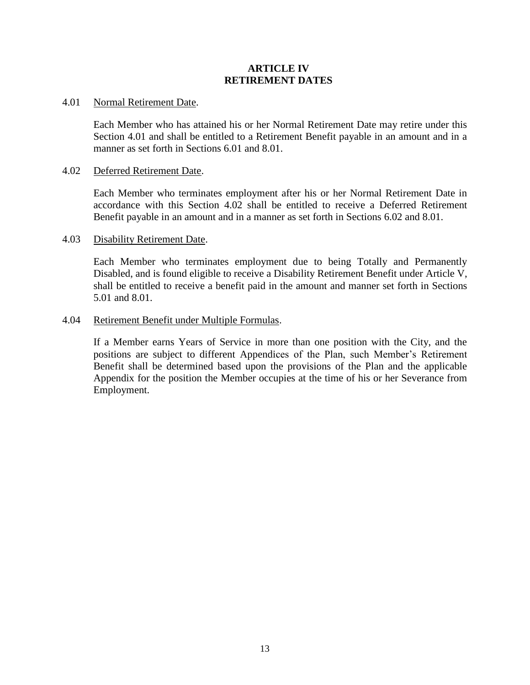## <span id="page-16-2"></span><span id="page-16-1"></span><span id="page-16-0"></span>**ARTICLE IV RETIREMENT DATES**

### <span id="page-16-6"></span>4.01 Normal Retirement Date.

Each Member who has attained his or her Normal Retirement Date may retire under this Section [4.01](#page-16-6) and shall be entitled to a Retirement Benefit payable in an amount and in a manner as set forth in Sections [6.01](#page-21-8) and [8.01.](#page-27-5)

### <span id="page-16-5"></span>4.02 Deferred Retirement Date.

Each Member who terminates employment after his or her Normal Retirement Date in accordance with this Section [4.02](#page-16-5) shall be entitled to receive a Deferred Retirement Benefit payable in an amount and in a manner as set forth in Sections [6.02](#page-21-7) and [8.01.](#page-27-5)

### 4.03 Disability Retirement Date.

<span id="page-16-3"></span>Each Member who terminates employment due to being Totally and Permanently Disabled, and is found eligible to receive a Disability Retirement Benefit under [Article V,](#page-17-4) shall be entitled to receive a benefit paid in the amount and manner set forth in Sections [5.01](#page-17-3) and [8.01.](#page-27-5)

### 4.04 Retirement Benefit under Multiple Formulas.

<span id="page-16-4"></span>If a Member earns Years of Service in more than one position with the City, and the positions are subject to different Appendices of the Plan, such Member's Retirement Benefit shall be determined based upon the provisions of the Plan and the applicable Appendix for the position the Member occupies at the time of his or her Severance from Employment.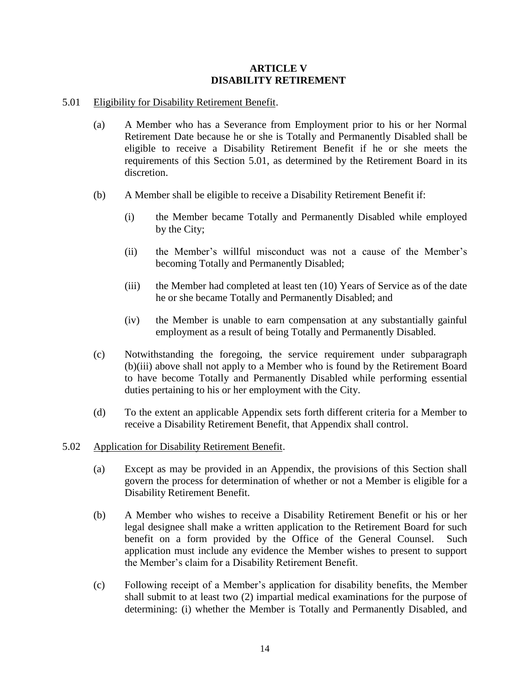## <span id="page-17-1"></span><span id="page-17-0"></span>**ARTICLE V DISABILITY RETIREMENT**

### <span id="page-17-7"></span><span id="page-17-4"></span><span id="page-17-3"></span>5.01 Eligibility for Disability Retirement Benefit.

- (a) A Member who has a Severance from Employment prior to his or her Normal Retirement Date because he or she is Totally and Permanently Disabled shall be eligible to receive a Disability Retirement Benefit if he or she meets the requirements of this Section [5.01,](#page-17-3) as determined by the Retirement Board in its discretion.
- <span id="page-17-5"></span>(b) A Member shall be eligible to receive a Disability Retirement Benefit if:
	- (i) the Member became Totally and Permanently Disabled while employed by the City;
	- (ii) the Member's willful misconduct was not a cause of the Member's becoming Totally and Permanently Disabled;
	- (iii) the Member had completed at least ten (10) Years of Service as of the date he or she became Totally and Permanently Disabled; and
	- (iv) the Member is unable to earn compensation at any substantially gainful employment as a result of being Totally and Permanently Disabled.
- (c) Notwithstanding the foregoing, the service requirement under subparagraph [\(b\)\(iii\)](#page-17-5) above shall not apply to a Member who is found by the Retirement Board to have become Totally and Permanently Disabled while performing essential duties pertaining to his or her employment with the City.
- <span id="page-17-2"></span>(d) To the extent an applicable Appendix sets forth different criteria for a Member to receive a Disability Retirement Benefit, that Appendix shall control.
- <span id="page-17-6"></span>5.02 Application for Disability Retirement Benefit.
	- (a) Except as may be provided in an Appendix, the provisions of this Section shall govern the process for determination of whether or not a Member is eligible for a Disability Retirement Benefit.
	- (b) A Member who wishes to receive a Disability Retirement Benefit or his or her legal designee shall make a written application to the Retirement Board for such benefit on a form provided by the Office of the General Counsel. Such application must include any evidence the Member wishes to present to support the Member's claim for a Disability Retirement Benefit.
	- (c) Following receipt of a Member's application for disability benefits, the Member shall submit to at least two (2) impartial medical examinations for the purpose of determining: (i) whether the Member is Totally and Permanently Disabled, and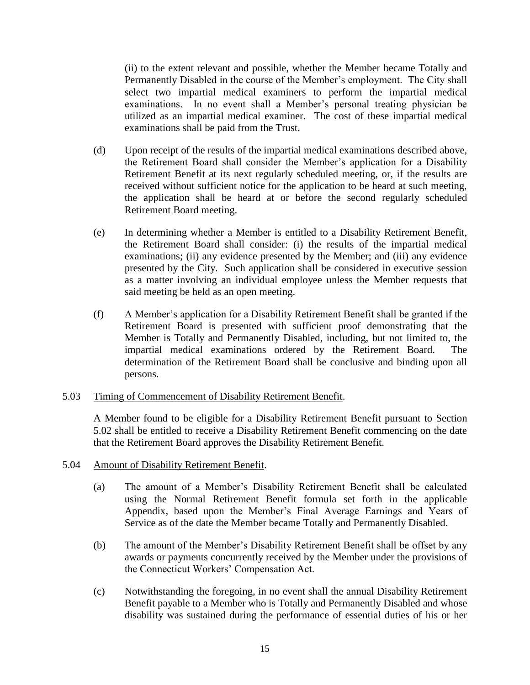(ii) to the extent relevant and possible, whether the Member became Totally and Permanently Disabled in the course of the Member's employment. The City shall select two impartial medical examiners to perform the impartial medical examinations. In no event shall a Member's personal treating physician be utilized as an impartial medical examiner. The cost of these impartial medical examinations shall be paid from the Trust.

- (d) Upon receipt of the results of the impartial medical examinations described above, the Retirement Board shall consider the Member's application for a Disability Retirement Benefit at its next regularly scheduled meeting, or, if the results are received without sufficient notice for the application to be heard at such meeting, the application shall be heard at or before the second regularly scheduled Retirement Board meeting.
- (e) In determining whether a Member is entitled to a Disability Retirement Benefit, the Retirement Board shall consider: (i) the results of the impartial medical examinations; (ii) any evidence presented by the Member; and (iii) any evidence presented by the City. Such application shall be considered in executive session as a matter involving an individual employee unless the Member requests that said meeting be held as an open meeting.
- (f) A Member's application for a Disability Retirement Benefit shall be granted if the Retirement Board is presented with sufficient proof demonstrating that the Member is Totally and Permanently Disabled, including, but not limited to, the impartial medical examinations ordered by the Retirement Board. The determination of the Retirement Board shall be conclusive and binding upon all persons.

### 5.03 Timing of Commencement of Disability Retirement Benefit.

<span id="page-18-0"></span>A Member found to be eligible for a Disability Retirement Benefit pursuant to Section [5.02](#page-17-6) shall be entitled to receive a Disability Retirement Benefit commencing on the date that the Retirement Board approves the Disability Retirement Benefit.

### <span id="page-18-2"></span>5.04 Amount of Disability Retirement Benefit.

- <span id="page-18-1"></span>(a) The amount of a Member's Disability Retirement Benefit shall be calculated using the Normal Retirement Benefit formula set forth in the applicable Appendix, based upon the Member's Final Average Earnings and Years of Service as of the date the Member became Totally and Permanently Disabled.
- (b) The amount of the Member's Disability Retirement Benefit shall be offset by any awards or payments concurrently received by the Member under the provisions of the Connecticut Workers' Compensation Act.
- <span id="page-18-3"></span>(c) Notwithstanding the foregoing, in no event shall the annual Disability Retirement Benefit payable to a Member who is Totally and Permanently Disabled and whose disability was sustained during the performance of essential duties of his or her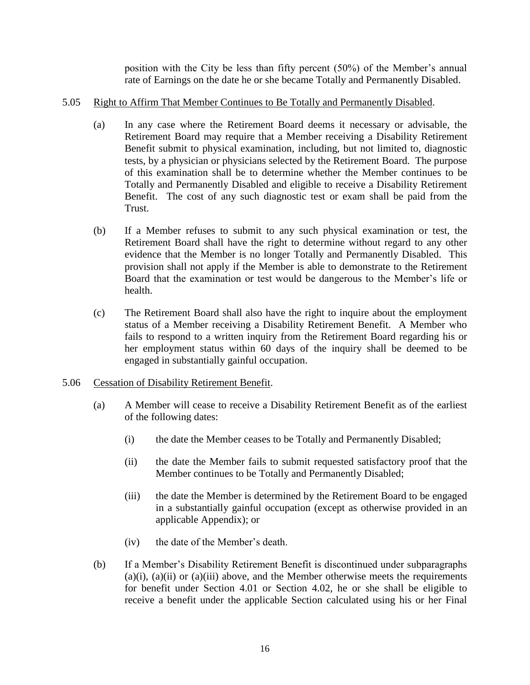<span id="page-19-0"></span>position with the City be less than fifty percent (50%) of the Member's annual rate of Earnings on the date he or she became Totally and Permanently Disabled.

- 5.05 Right to Affirm That Member Continues to Be Totally and Permanently Disabled.
	- (a) In any case where the Retirement Board deems it necessary or advisable, the Retirement Board may require that a Member receiving a Disability Retirement Benefit submit to physical examination, including, but not limited to, diagnostic tests, by a physician or physicians selected by the Retirement Board. The purpose of this examination shall be to determine whether the Member continues to be Totally and Permanently Disabled and eligible to receive a Disability Retirement Benefit. The cost of any such diagnostic test or exam shall be paid from the Trust.
	- (b) If a Member refuses to submit to any such physical examination or test, the Retirement Board shall have the right to determine without regard to any other evidence that the Member is no longer Totally and Permanently Disabled. This provision shall not apply if the Member is able to demonstrate to the Retirement Board that the examination or test would be dangerous to the Member's life or health.
	- (c) The Retirement Board shall also have the right to inquire about the employment status of a Member receiving a Disability Retirement Benefit. A Member who fails to respond to a written inquiry from the Retirement Board regarding his or her employment status within 60 days of the inquiry shall be deemed to be engaged in substantially gainful occupation.
- <span id="page-19-2"></span><span id="page-19-1"></span>5.06 Cessation of Disability Retirement Benefit.
	- (a) A Member will cease to receive a Disability Retirement Benefit as of the earliest of the following dates:
		- (i) the date the Member ceases to be Totally and Permanently Disabled;
		- (ii) the date the Member fails to submit requested satisfactory proof that the Member continues to be Totally and Permanently Disabled;
		- (iii) the date the Member is determined by the Retirement Board to be engaged in a substantially gainful occupation (except as otherwise provided in an applicable Appendix); or
		- (iv) the date of the Member's death.
	- (b) If a Member's Disability Retirement Benefit is discontinued under subparagraphs  $(a)(i)$ ,  $(a)(ii)$  or  $(a)(iii)$  above, and the Member otherwise meets the requirements for benefit under Section [4.01](#page-16-6) or Section [4.02,](#page-16-5) he or she shall be eligible to receive a benefit under the applicable Section calculated using his or her Final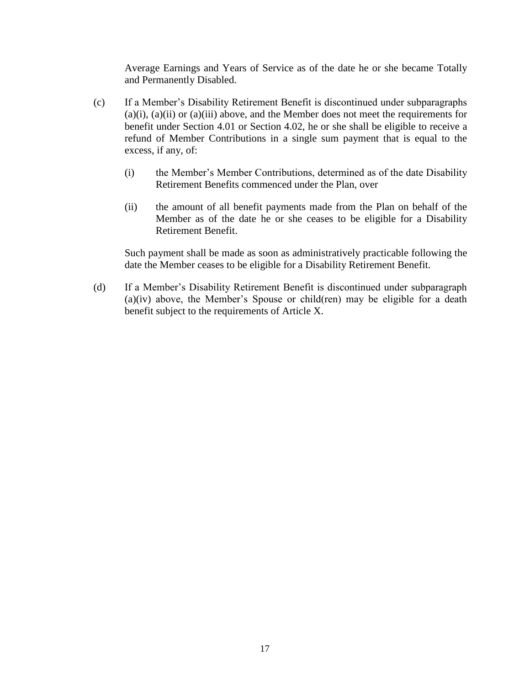Average Earnings and Years of Service as of the date he or she became Totally and Permanently Disabled.

- (c) If a Member's Disability Retirement Benefit is discontinued under subparagraphs  $(a)(i)$ ,  $(a)(ii)$  or  $(a)(iii)$  above, and the Member does not meet the requirements for benefit under Section [4.01](#page-16-6) or Section [4.02,](#page-16-5) he or she shall be eligible to receive a refund of Member Contributions in a single sum payment that is equal to the excess, if any, of:
	- (i) the Member's Member Contributions, determined as of the date Disability Retirement Benefits commenced under the Plan, over
	- (ii) the amount of all benefit payments made from the Plan on behalf of the Member as of the date he or she ceases to be eligible for a Disability Retirement Benefit.

Such payment shall be made as soon as administratively practicable following the date the Member ceases to be eligible for a Disability Retirement Benefit.

(d) If a Member's Disability Retirement Benefit is discontinued under subparagraph [\(a\)\(iv\)](#page-19-2) above, the Member's Spouse or child(ren) may be eligible for a death benefit subject to the requirements of [Article X.](#page-31-2)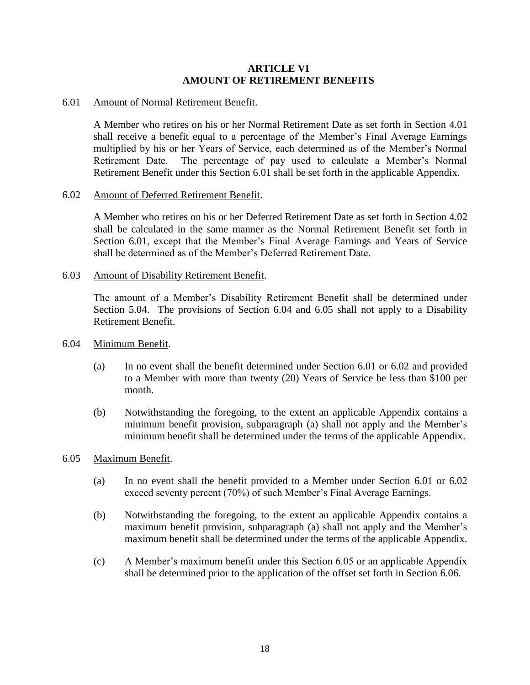### <span id="page-21-2"></span><span id="page-21-1"></span><span id="page-21-0"></span>**ARTICLE VI AMOUNT OF RETIREMENT BENEFITS**

### <span id="page-21-8"></span><span id="page-21-6"></span>6.01 Amount of Normal Retirement Benefit.

A Member who retires on his or her Normal Retirement Date as set forth in Section [4.01](#page-16-6) shall receive a benefit equal to a percentage of the Member's Final Average Earnings multiplied by his or her Years of Service, each determined as of the Member's Normal Retirement Date. The percentage of pay used to calculate a Member's Normal Retirement Benefit under this Section [6.01](#page-21-8) shall be set forth in the applicable Appendix.

### <span id="page-21-7"></span>6.02 Amount of Deferred Retirement Benefit.

A Member who retires on his or her Deferred Retirement Date as set forth in Section [4.02](#page-16-5) shall be calculated in the same manner as the Normal Retirement Benefit set forth in Section [6.01,](#page-21-8) except that the Member's Final Average Earnings and Years of Service shall be determined as of the Member's Deferred Retirement Date.

### 6.03 Amount of Disability Retirement Benefit.

<span id="page-21-3"></span>The amount of a Member's Disability Retirement Benefit shall be determined under Section [5.04.](#page-18-2) The provisions of Section [6.04](#page-21-9) and [6.05](#page-21-10) shall not apply to a Disability Retirement Benefit.

#### <span id="page-21-11"></span><span id="page-21-9"></span>6.04 Minimum Benefit.

- <span id="page-21-4"></span>(a) In no event shall the benefit determined under Section [6.01](#page-21-8) or [6.02](#page-21-7) and provided to a Member with more than twenty (20) Years of Service be less than \$100 per month.
- (b) Notwithstanding the foregoing, to the extent an applicable Appendix contains a minimum benefit provision, subparagraph [\(a\)](#page-21-11) shall not apply and the Member's minimum benefit shall be determined under the terms of the applicable Appendix.

### <span id="page-21-12"></span><span id="page-21-10"></span>6.05 Maximum Benefit.

- <span id="page-21-5"></span>(a) In no event shall the benefit provided to a Member under Section [6.01](#page-21-8) or [6.02](#page-21-7) exceed seventy percent (70%) of such Member's Final Average Earnings.
- (b) Notwithstanding the foregoing, to the extent an applicable Appendix contains a maximum benefit provision, subparagraph [\(a\)](#page-21-12) shall not apply and the Member's maximum benefit shall be determined under the terms of the applicable Appendix.
- (c) A Member's maximum benefit under this Section 6.05 or an applicable Appendix shall be determined prior to the application of the offset set forth in Section [6.06.](#page-22-1)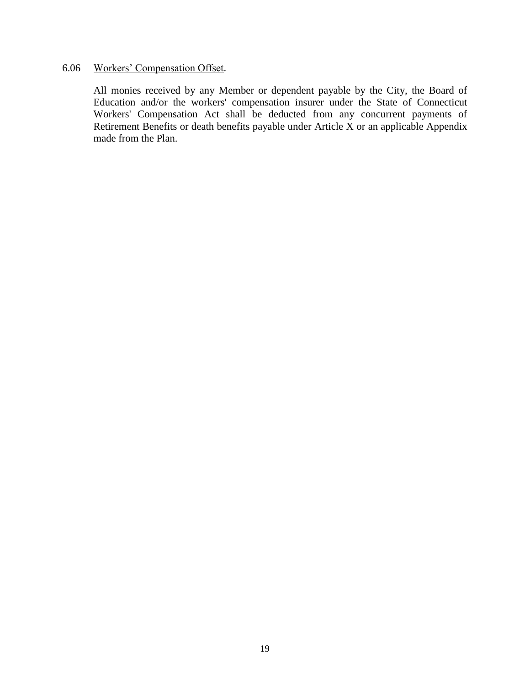## <span id="page-22-1"></span>6.06 Workers' Compensation Offset.

<span id="page-22-0"></span>All monies received by any Member or dependent payable by the City, the Board of Education and/or the workers' compensation insurer under the State of Connecticut Workers' Compensation Act shall be deducted from any concurrent payments of Retirement Benefits or death benefits payable under [Article X](#page-31-3) or an applicable Appendix made from the Plan.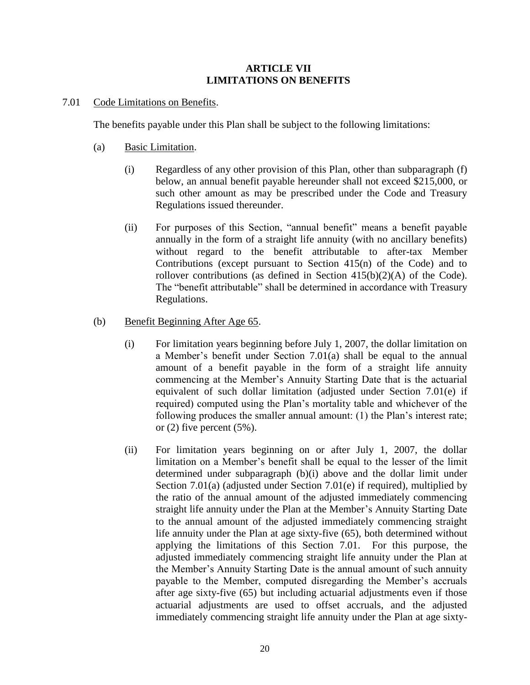### <span id="page-23-1"></span><span id="page-23-0"></span>**ARTICLE VII LIMITATIONS ON BENEFITS**

### <span id="page-23-4"></span>7.01 Code Limitations on Benefits.

The benefits payable under this Plan shall be subject to the following limitations:

- <span id="page-23-2"></span>(a) Basic Limitation.
	- (i) Regardless of any other provision of this Plan, other than subparagraph [\(f\)](#page-24-0) below, an annual benefit payable hereunder shall not exceed \$215,000, or such other amount as may be prescribed under the Code and Treasury Regulations issued thereunder.
	- (ii) For purposes of this Section, "annual benefit" means a benefit payable annually in the form of a straight life annuity (with no ancillary benefits) without regard to the benefit attributable to after-tax Member Contributions (except pursuant to Section 415(n) of the Code) and to rollover contributions (as defined in Section  $415(b)(2)(A)$  of the Code). The "benefit attributable" shall be determined in accordance with Treasury Regulations.

## <span id="page-23-3"></span>(b) Benefit Beginning After Age 65.

- (i) For limitation years beginning before July 1, 2007, the dollar limitation on a Member's benefit under Section [7.01\(a\)](#page-23-2) shall be equal to the annual amount of a benefit payable in the form of a straight life annuity commencing at the Member's Annuity Starting Date that is the actuarial equivalent of such dollar limitation (adjusted under Section [7.01\(e\)](#page-24-1) if required) computed using the Plan's mortality table and whichever of the following produces the smaller annual amount: (1) the Plan's interest rate; or  $(2)$  five percent  $(5\%)$ .
- (ii) For limitation years beginning on or after July 1, 2007, the dollar limitation on a Member's benefit shall be equal to the lesser of the limit determined under subparagraph [\(b\)\(i\)](#page-23-3) above and the dollar limit under Section [7.01\(a\)](#page-23-2) (adjusted under Section [7.01\(e\)](#page-24-1) if required), multiplied by the ratio of the annual amount of the adjusted immediately commencing straight life annuity under the Plan at the Member's Annuity Starting Date to the annual amount of the adjusted immediately commencing straight life annuity under the Plan at age sixty-five (65), both determined without applying the limitations of this Section [7.01.](#page-23-4) For this purpose, the adjusted immediately commencing straight life annuity under the Plan at the Member's Annuity Starting Date is the annual amount of such annuity payable to the Member, computed disregarding the Member's accruals after age sixty-five (65) but including actuarial adjustments even if those actuarial adjustments are used to offset accruals, and the adjusted immediately commencing straight life annuity under the Plan at age sixty-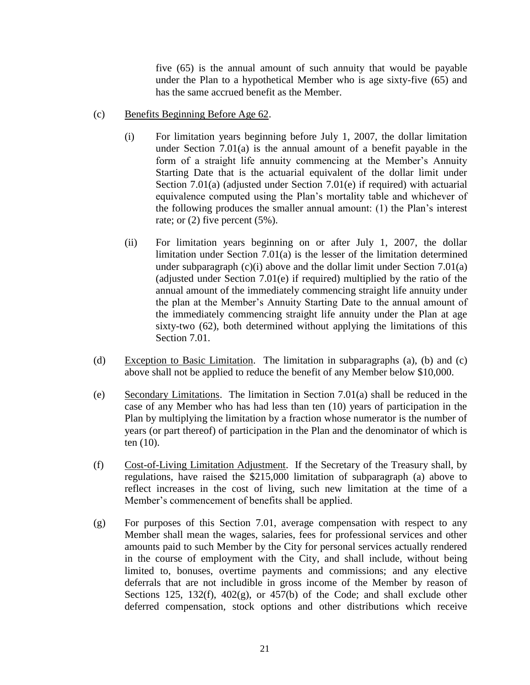five (65) is the annual amount of such annuity that would be payable under the Plan to a hypothetical Member who is age sixty-five (65) and has the same accrued benefit as the Member.

- <span id="page-24-2"></span>(c) Benefits Beginning Before Age 62.
	- (i) For limitation years beginning before July 1, 2007, the dollar limitation under Section [7.01\(a\)](#page-23-2) is the annual amount of a benefit payable in the form of a straight life annuity commencing at the Member's Annuity Starting Date that is the actuarial equivalent of the dollar limit under Section [7.01\(a\)](#page-23-2) (adjusted under Section [7.01\(e\)](#page-24-1) if required) with actuarial equivalence computed using the Plan's mortality table and whichever of the following produces the smaller annual amount: (1) the Plan's interest rate; or (2) five percent (5%).
	- (ii) For limitation years beginning on or after July 1, 2007, the dollar limitation under Section [7.01\(a\)](#page-23-2) is the lesser of the limitation determined under subparagraph  $(c)(i)$  above and the dollar limit under Section [7.01\(a\)](#page-23-2) (adjusted under Section [7.01\(e\)](#page-24-1) if required) multiplied by the ratio of the annual amount of the immediately commencing straight life annuity under the plan at the Member's Annuity Starting Date to the annual amount of the immediately commencing straight life annuity under the Plan at age sixty-two (62), both determined without applying the limitations of this Section [7.01.](#page-23-4)
- (d) Exception to Basic Limitation. The limitation in subparagraphs [\(a\),](#page-23-2) [\(b\)](#page-23-3) and [\(c\)](#page-24-2) above shall not be applied to reduce the benefit of any Member below \$10,000.
- <span id="page-24-1"></span>(e) Secondary Limitations. The limitation in Section [7.01\(a\)](#page-23-2) shall be reduced in the case of any Member who has had less than ten (10) years of participation in the Plan by multiplying the limitation by a fraction whose numerator is the number of years (or part thereof) of participation in the Plan and the denominator of which is ten (10).
- <span id="page-24-0"></span>(f) Cost-of-Living Limitation Adjustment. If the Secretary of the Treasury shall, by regulations, have raised the \$215,000 limitation of subparagraph [\(a\)](#page-23-2) above to reflect increases in the cost of living, such new limitation at the time of a Member's commencement of benefits shall be applied.
- (g) For purposes of this Section [7.01,](#page-23-4) average compensation with respect to any Member shall mean the wages, salaries, fees for professional services and other amounts paid to such Member by the City for personal services actually rendered in the course of employment with the City, and shall include, without being limited to, bonuses, overtime payments and commissions; and any elective deferrals that are not includible in gross income of the Member by reason of Sections 125, 132(f), 402(g), or 457(b) of the Code; and shall exclude other deferred compensation, stock options and other distributions which receive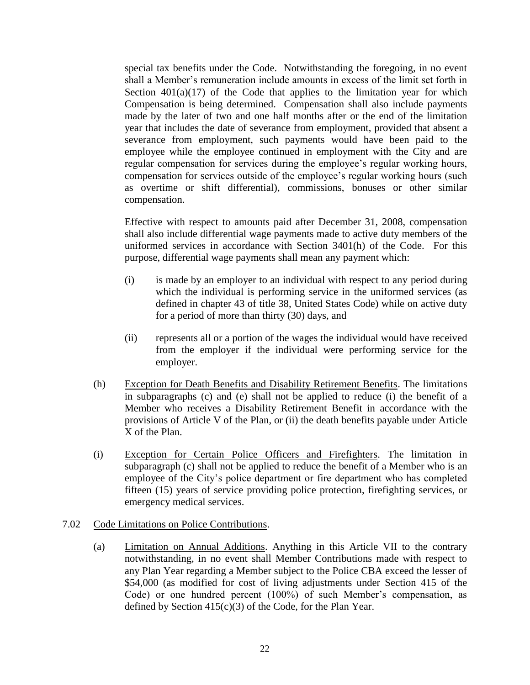special tax benefits under the Code. Notwithstanding the foregoing, in no event shall a Member's remuneration include amounts in excess of the limit set forth in Section  $401(a)(17)$  of the Code that applies to the limitation year for which Compensation is being determined. Compensation shall also include payments made by the later of two and one half months after or the end of the limitation year that includes the date of severance from employment, provided that absent a severance from employment, such payments would have been paid to the employee while the employee continued in employment with the City and are regular compensation for services during the employee's regular working hours, compensation for services outside of the employee's regular working hours (such as overtime or shift differential), commissions, bonuses or other similar compensation.

Effective with respect to amounts paid after December 31, 2008, compensation shall also include differential wage payments made to active duty members of the uniformed services in accordance with Section 3401(h) of the Code. For this purpose, differential wage payments shall mean any payment which:

- (i) is made by an employer to an individual with respect to any period during which the individual is performing service in the uniformed services (as defined in chapter 43 of title 38, United States Code) while on active duty for a period of more than thirty (30) days, and
- (ii) represents all or a portion of the wages the individual would have received from the employer if the individual were performing service for the employer.
- (h) Exception for Death Benefits and Disability Retirement Benefits. The limitations in subparagraphs [\(c\)](#page-24-2) and [\(e\)](#page-24-1) shall not be applied to reduce (i) the benefit of a Member who receives a Disability Retirement Benefit in accordance with the provisions of [Article V](#page-17-4) of the Plan, or (ii) the death benefits payable under [Article](#page-31-3)  [X](#page-31-3) of the Plan.
- (i) Exception for Certain Police Officers and Firefighters. The limitation in subparagraph [\(c\)](#page-24-2) shall not be applied to reduce the benefit of a Member who is an employee of the City's police department or fire department who has completed fifteen (15) years of service providing police protection, firefighting services, or emergency medical services.

### 7.02 Code Limitations on Police Contributions.

<span id="page-25-0"></span>(a) Limitation on Annual Additions. Anything in this Article VII to the contrary notwithstanding, in no event shall Member Contributions made with respect to any Plan Year regarding a Member subject to the Police CBA exceed the lesser of \$54,000 (as modified for cost of living adjustments under Section 415 of the Code) or one hundred percent (100%) of such Member's compensation, as defined by Section 415(c)(3) of the Code, for the Plan Year.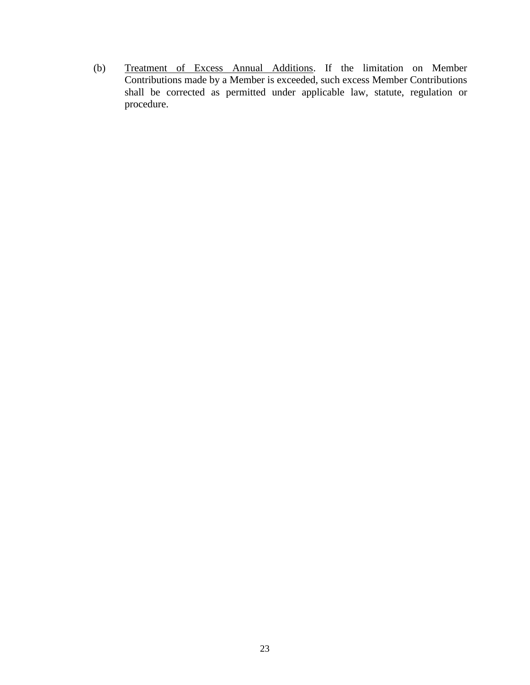(b) Treatment of Excess Annual Additions. If the limitation on Member Contributions made by a Member is exceeded, such excess Member Contributions shall be corrected as permitted under applicable law, statute, regulation or procedure.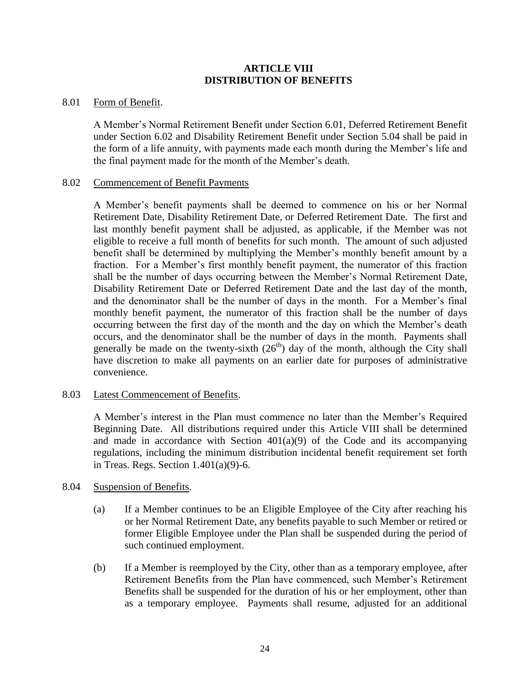### <span id="page-27-2"></span><span id="page-27-1"></span><span id="page-27-0"></span>**ARTICLE VIII DISTRIBUTION OF BENEFITS**

## <span id="page-27-6"></span><span id="page-27-5"></span>8.01 Form of Benefit.

A Member's Normal Retirement Benefit under Section [6.01,](#page-21-8) Deferred Retirement Benefit under Section [6.02](#page-21-7) and Disability Retirement Benefit under Section [5.04](#page-18-2) shall be paid in the form of a life annuity, with payments made each month during the Member's life and the final payment made for the month of the Member's death.

### <span id="page-27-8"></span>8.02 Commencement of Benefit Payments

A Member's benefit payments shall be deemed to commence on his or her Normal Retirement Date, Disability Retirement Date, or Deferred Retirement Date. The first and last monthly benefit payment shall be adjusted, as applicable, if the Member was not eligible to receive a full month of benefits for such month. The amount of such adjusted benefit shall be determined by multiplying the Member's monthly benefit amount by a fraction. For a Member's first monthly benefit payment, the numerator of this fraction shall be the number of days occurring between the Member's Normal Retirement Date, Disability Retirement Date or Deferred Retirement Date and the last day of the month, and the denominator shall be the number of days in the month. For a Member's final monthly benefit payment, the numerator of this fraction shall be the number of days occurring between the first day of the month and the day on which the Member's death occurs, and the denominator shall be the number of days in the month. Payments shall generally be made on the twenty-sixth  $(26<sup>th</sup>)$  day of the month, although the City shall have discretion to make all payments on an earlier date for purposes of administrative convenience.

### 8.03 Latest Commencement of Benefits.

<span id="page-27-3"></span>A Member's interest in the Plan must commence no later than the Member's Required Beginning Date. All distributions required under this [Article VIII](#page-27-6) shall be determined and made in accordance with Section  $401(a)(9)$  of the Code and its accompanying regulations, including the minimum distribution incidental benefit requirement set forth in Treas. Regs. Section 1.401(a)(9)-6.

### <span id="page-27-7"></span>8.04 Suspension of Benefits.

- <span id="page-27-4"></span>(a) If a Member continues to be an Eligible Employee of the City after reaching his or her Normal Retirement Date, any benefits payable to such Member or retired or former Eligible Employee under the Plan shall be suspended during the period of such continued employment.
- (b) If a Member is reemployed by the City, other than as a temporary employee, after Retirement Benefits from the Plan have commenced, such Member's Retirement Benefits shall be suspended for the duration of his or her employment, other than as a temporary employee. Payments shall resume, adjusted for an additional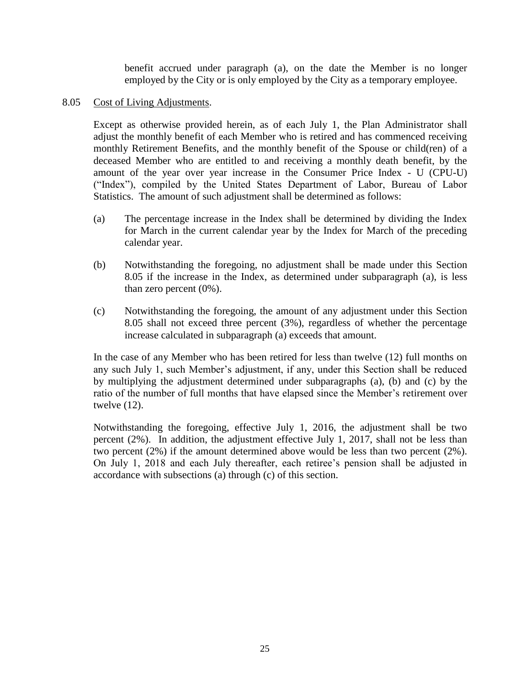<span id="page-28-0"></span>benefit accrued under paragraph [\(a\),](#page-27-7) on the date the Member is no longer employed by the City or is only employed by the City as a temporary employee.

<span id="page-28-1"></span>8.05 Cost of Living Adjustments.

Except as otherwise provided herein, as of each July 1, the Plan Administrator shall adjust the monthly benefit of each Member who is retired and has commenced receiving monthly Retirement Benefits, and the monthly benefit of the Spouse or child(ren) of a deceased Member who are entitled to and receiving a monthly death benefit, by the amount of the year over year increase in the Consumer Price Index - U (CPU-U) ("Index"), compiled by the United States Department of Labor, Bureau of Labor Statistics. The amount of such adjustment shall be determined as follows:

- <span id="page-28-2"></span>(a) The percentage increase in the Index shall be determined by dividing the Index for March in the current calendar year by the Index for March of the preceding calendar year.
- <span id="page-28-3"></span>(b) Notwithstanding the foregoing, no adjustment shall be made under this Section [8.05](#page-28-1) if the increase in the Index, as determined under subparagraph [\(a\),](#page-28-2) is less than zero percent (0%).
- <span id="page-28-4"></span>(c) Notwithstanding the foregoing, the amount of any adjustment under this Section [8.05](#page-28-1) shall not exceed three percent (3%), regardless of whether the percentage increase calculated in subparagraph [\(a\)](#page-28-2) exceeds that amount.

In the case of any Member who has been retired for less than twelve (12) full months on any such July 1, such Member's adjustment, if any, under this Section shall be reduced by multiplying the adjustment determined under subparagraphs [\(a\),](#page-28-2) [\(b\)](#page-28-3) and [\(c\)](#page-28-4) by the ratio of the number of full months that have elapsed since the Member's retirement over twelve (12).

Notwithstanding the foregoing, effective July 1, 2016, the adjustment shall be two percent (2%). In addition, the adjustment effective July 1, 2017, shall not be less than two percent (2%) if the amount determined above would be less than two percent (2%). On July 1, 2018 and each July thereafter, each retiree's pension shall be adjusted in accordance with subsections (a) through (c) of this section.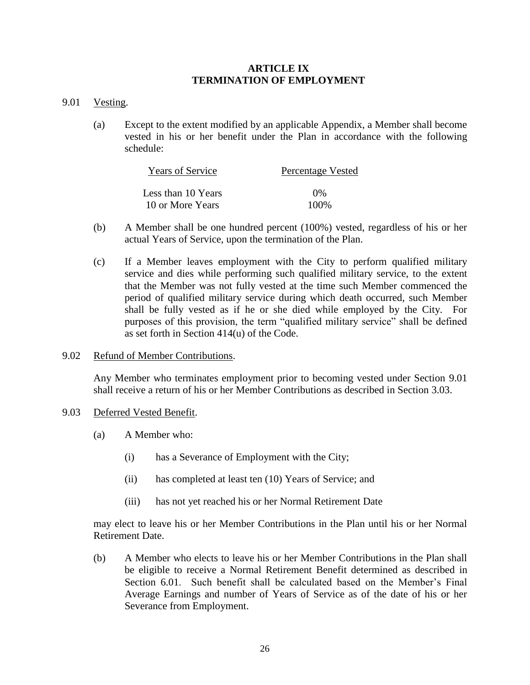### <span id="page-29-0"></span>**ARTICLE IX TERMINATION OF EMPLOYMENT**

- <span id="page-29-4"></span><span id="page-29-1"></span>9.01 Vesting.
	- (a) Except to the extent modified by an applicable Appendix, a Member shall become vested in his or her benefit under the Plan in accordance with the following schedule:

| <b>Years of Service</b> | <b>Percentage Vested</b> |
|-------------------------|--------------------------|
| Less than 10 Years      | $0\%$                    |
| 10 or More Years        | 100\%                    |

- (b) A Member shall be one hundred percent (100%) vested, regardless of his or her actual Years of Service, upon the termination of the Plan.
- (c) If a Member leaves employment with the City to perform qualified military service and dies while performing such qualified military service, to the extent that the Member was not fully vested at the time such Member commenced the period of qualified military service during which death occurred, such Member shall be fully vested as if he or she died while employed by the City. For purposes of this provision, the term "qualified military service" shall be defined as set forth in Section 414(u) of the Code.
- 9.02 Refund of Member Contributions.

<span id="page-29-3"></span><span id="page-29-2"></span>Any Member who terminates employment prior to becoming vested under Section [9.01](#page-29-4) shall receive a return of his or her Member Contributions as described in Section [3.03.](#page-12-4)

- <span id="page-29-5"></span>9.03 Deferred Vested Benefit.
	- (a) A Member who:
		- (i) has a Severance of Employment with the City;
		- (ii) has completed at least ten (10) Years of Service; and
		- (iii) has not yet reached his or her Normal Retirement Date

may elect to leave his or her Member Contributions in the Plan until his or her Normal Retirement Date.

<span id="page-29-6"></span>(b) A Member who elects to leave his or her Member Contributions in the Plan shall be eligible to receive a Normal Retirement Benefit determined as described in Section [6.01.](#page-21-8) Such benefit shall be calculated based on the Member's Final Average Earnings and number of Years of Service as of the date of his or her Severance from Employment.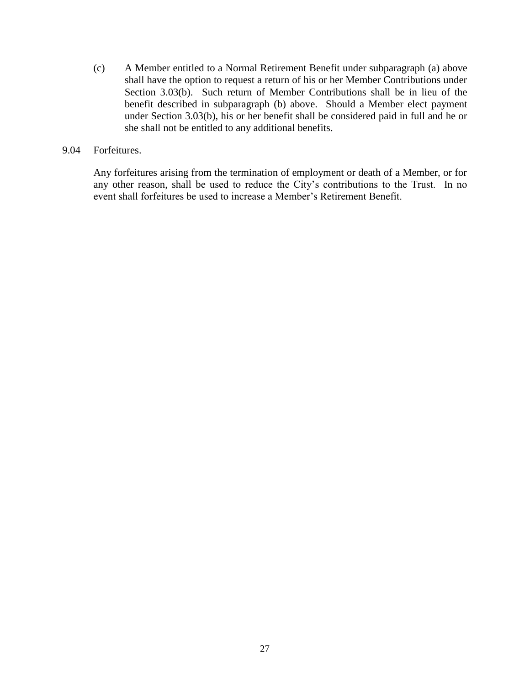(c) A Member entitled to a Normal Retirement Benefit under subparagraph [\(a\)](#page-29-5) above shall have the option to request a return of his or her Member Contributions under Section [3.03\(b\).](#page-12-6) Such return of Member Contributions shall be in lieu of the benefit described in subparagraph [\(b\)](#page-29-6) above. Should a Member elect payment under Section [3.03\(b\),](#page-12-6) his or her benefit shall be considered paid in full and he or she shall not be entitled to any additional benefits.

### 9.04 Forfeitures.

<span id="page-30-0"></span>Any forfeitures arising from the termination of employment or death of a Member, or for any other reason, shall be used to reduce the City's contributions to the Trust. In no event shall forfeitures be used to increase a Member's Retirement Benefit.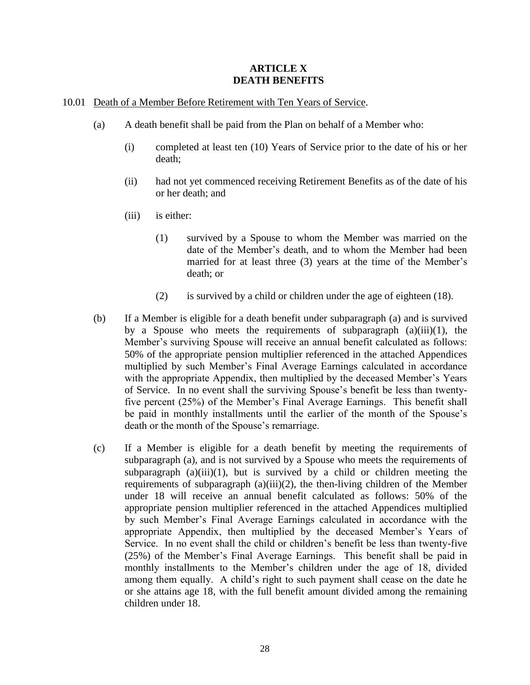## <span id="page-31-1"></span><span id="page-31-0"></span>**ARTICLE X DEATH BENEFITS**

### <span id="page-31-8"></span><span id="page-31-4"></span><span id="page-31-3"></span><span id="page-31-2"></span>10.01 Death of a Member Before Retirement with Ten Years of Service.

- (a) A death benefit shall be paid from the Plan on behalf of a Member who:
	- (i) completed at least ten (10) Years of Service prior to the date of his or her death;
	- (ii) had not yet commenced receiving Retirement Benefits as of the date of his or her death; and
	- (iii) is either:
		- (1) survived by a Spouse to whom the Member was married on the date of the Member's death, and to whom the Member had been married for at least three (3) years at the time of the Member's death; or
		- (2) is survived by a child or children under the age of eighteen (18).
- <span id="page-31-7"></span><span id="page-31-6"></span><span id="page-31-5"></span>(b) If a Member is eligible for a death benefit under subparagraph [\(a\)](#page-31-4) and is survived by a Spouse who meets the requirements of subparagraph  $(a)(iii)(1)$  $(a)(iii)(1)$ , the Member's surviving Spouse will receive an annual benefit calculated as follows: 50% of the appropriate pension multiplier referenced in the attached Appendices multiplied by such Member's Final Average Earnings calculated in accordance with the appropriate Appendix, then multiplied by the deceased Member's Years of Service. In no event shall the surviving Spouse's benefit be less than twentyfive percent (25%) of the Member's Final Average Earnings. This benefit shall be paid in monthly installments until the earlier of the month of the Spouse's death or the month of the Spouse's remarriage.
- (c) If a Member is eligible for a death benefit by meeting the requirements of subparagraph [\(a\),](#page-31-4) and is not survived by a Spouse who meets the requirements of subparagraph  $(a)(iii)(1)$  $(a)(iii)(1)$ , but is survived by a child or children meeting the requirements of subparagraph  $(a)(iii)(2)$ , the then-living children of the Member under 18 will receive an annual benefit calculated as follows: 50% of the appropriate pension multiplier referenced in the attached Appendices multiplied by such Member's Final Average Earnings calculated in accordance with the appropriate Appendix, then multiplied by the deceased Member's Years of Service. In no event shall the child or children's benefit be less than twenty-five (25%) of the Member's Final Average Earnings. This benefit shall be paid in monthly installments to the Member's children under the age of 18, divided among them equally. A child's right to such payment shall cease on the date he or she attains age 18, with the full benefit amount divided among the remaining children under 18.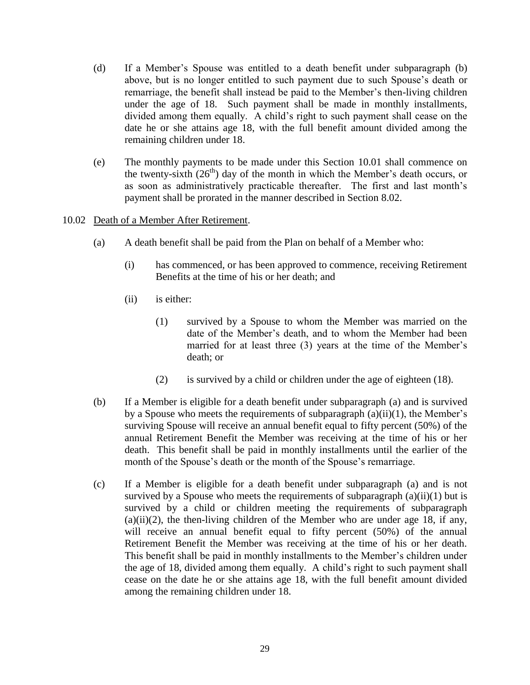- (d) If a Member's Spouse was entitled to a death benefit under subparagraph [\(b\)](#page-31-7) above, but is no longer entitled to such payment due to such Spouse's death or remarriage, the benefit shall instead be paid to the Member's then-living children under the age of 18. Such payment shall be made in monthly installments, divided among them equally. A child's right to such payment shall cease on the date he or she attains age 18, with the full benefit amount divided among the remaining children under 18.
- <span id="page-32-0"></span>(e) The monthly payments to be made under this Section [10.01](#page-31-8) shall commence on the twenty-sixth  $(26<sup>th</sup>)$  day of the month in which the Member's death occurs, or as soon as administratively practicable thereafter. The first and last month's payment shall be prorated in the manner described in Section [8.02.](#page-27-8)
- <span id="page-32-5"></span><span id="page-32-4"></span><span id="page-32-3"></span><span id="page-32-2"></span><span id="page-32-1"></span>10.02 Death of a Member After Retirement.
	- (a) A death benefit shall be paid from the Plan on behalf of a Member who:
		- (i) has commenced, or has been approved to commence, receiving Retirement Benefits at the time of his or her death; and
		- (ii) is either:
			- (1) survived by a Spouse to whom the Member was married on the date of the Member's death, and to whom the Member had been married for at least three (3) years at the time of the Member's death; or
			- (2) is survived by a child or children under the age of eighteen (18).
	- (b) If a Member is eligible for a death benefit under subparagraph [\(a\)](#page-32-1) and is survived by a Spouse who meets the requirements of subparagraph  $(a)(ii)(1)$ , the Member's surviving Spouse will receive an annual benefit equal to fifty percent (50%) of the annual Retirement Benefit the Member was receiving at the time of his or her death. This benefit shall be paid in monthly installments until the earlier of the month of the Spouse's death or the month of the Spouse's remarriage.
	- (c) If a Member is eligible for a death benefit under subparagraph [\(a\)](#page-32-1) and is not survived by a Spouse who meets the requirements of subparagraph  $(a)(ii)(1)$  $(a)(ii)(1)$  but is survived by a child or children meeting the requirements of subparagraph  $(a)(ii)(2)$  $(a)(ii)(2)$ , the then-living children of the Member who are under age 18, if any, will receive an annual benefit equal to fifty percent (50%) of the annual Retirement Benefit the Member was receiving at the time of his or her death. This benefit shall be paid in monthly installments to the Member's children under the age of 18, divided among them equally. A child's right to such payment shall cease on the date he or she attains age 18, with the full benefit amount divided among the remaining children under 18.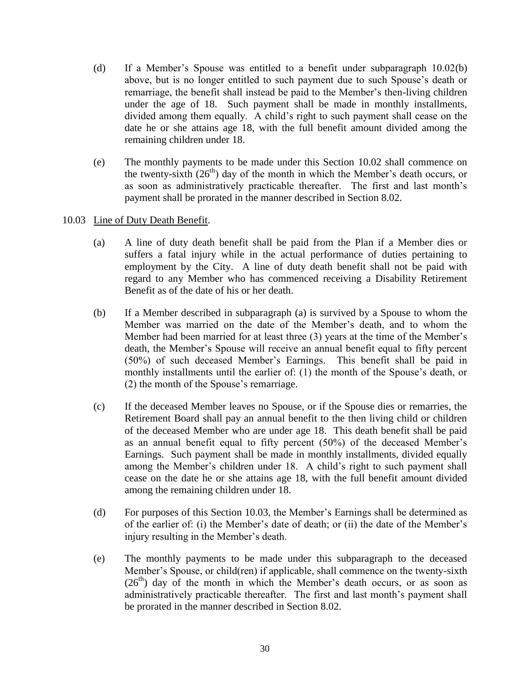- (d) If a Member's Spouse was entitled to a benefit under subparagraph 10.0[2\(b\)](#page-32-4) above, but is no longer entitled to such payment due to such Spouse's death or remarriage, the benefit shall instead be paid to the Member's then-living children under the age of 18. Such payment shall be made in monthly installments, divided among them equally. A child's right to such payment shall cease on the date he or she attains age 18, with the full benefit amount divided among the remaining children under 18.
- (e) The monthly payments to be made under this Section [10.02](#page-32-5) shall commence on the twenty-sixth  $(26<sup>th</sup>)$  day of the month in which the Member's death occurs, or as soon as administratively practicable thereafter. The first and last month's payment shall be prorated in the manner described in Section [8.02.](#page-27-8)

### <span id="page-33-2"></span><span id="page-33-1"></span>10.03 Line of Duty Death Benefit.

- <span id="page-33-0"></span>(a) A line of duty death benefit shall be paid from the Plan if a Member dies or suffers a fatal injury while in the actual performance of duties pertaining to employment by the City. A line of duty death benefit shall not be paid with regard to any Member who has commenced receiving a Disability Retirement Benefit as of the date of his or her death.
- (b) If a Member described in subparagraph [\(a\)](#page-33-1) is survived by a Spouse to whom the Member was married on the date of the Member's death, and to whom the Member had been married for at least three (3) years at the time of the Member's death, the Member's Spouse will receive an annual benefit equal to fifty percent (50%) of such deceased Member's Earnings. This benefit shall be paid in monthly installments until the earlier of: (1) the month of the Spouse's death, or (2) the month of the Spouse's remarriage.
- (c) If the deceased Member leaves no Spouse, or if the Spouse dies or remarries, the Retirement Board shall pay an annual benefit to the then living child or children of the deceased Member who are under age 18. This death benefit shall be paid as an annual benefit equal to fifty percent (50%) of the deceased Member's Earnings. Such payment shall be made in monthly installments, divided equally among the Member's children under 18. A child's right to such payment shall cease on the date he or she attains age 18, with the full benefit amount divided among the remaining children under 18.
- (d) For purposes of this Section [10.03,](#page-33-2) the Member's Earnings shall be determined as of the earlier of: (i) the Member's date of death; or (ii) the date of the Member's injury resulting in the Member's death.
- (e) The monthly payments to be made under this subparagraph to the deceased Member's Spouse, or child(ren) if applicable, shall commence on the twenty-sixth  $(26<sup>th</sup>)$  day of the month in which the Member's death occurs, or as soon as administratively practicable thereafter. The first and last month's payment shall be prorated in the manner described in Section [8.02.](#page-27-8)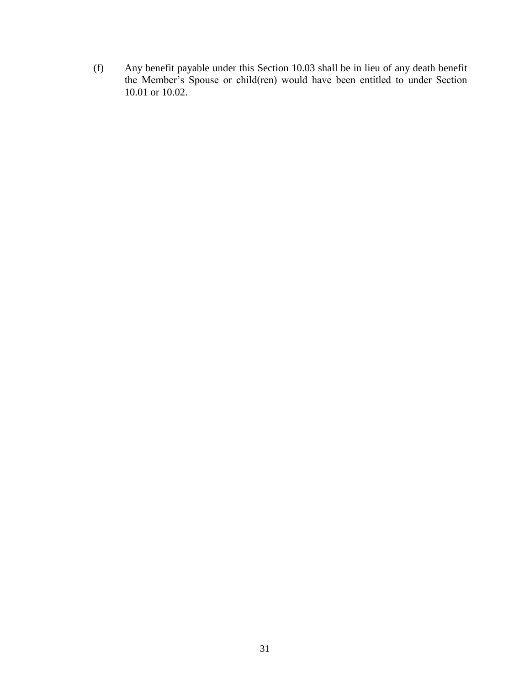(f) Any benefit payable under this Section [10.03](#page-33-2) shall be in lieu of any death benefit the Member's Spouse or child(ren) would have been entitled to under Section [10.01](#page-31-8) or [10.02.](#page-32-5)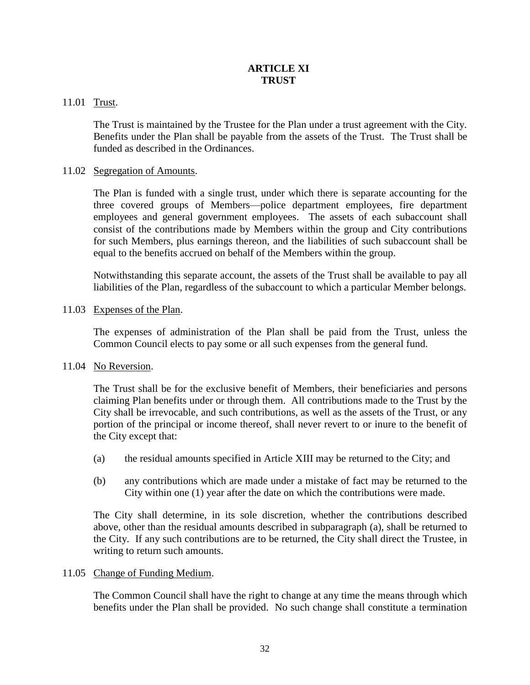## <span id="page-35-0"></span>**ARTICLE XI TRUST**

## 11.01 Trust.

<span id="page-35-1"></span>The Trust is maintained by the Trustee for the Plan under a trust agreement with the City. Benefits under the Plan shall be payable from the assets of the Trust. The Trust shall be funded as described in the Ordinances.

### 11.02 Segregation of Amounts.

<span id="page-35-2"></span>The Plan is funded with a single trust, under which there is separate accounting for the three covered groups of Members—police department employees, fire department employees and general government employees. The assets of each subaccount shall consist of the contributions made by Members within the group and City contributions for such Members, plus earnings thereon, and the liabilities of such subaccount shall be equal to the benefits accrued on behalf of the Members within the group.

Notwithstanding this separate account, the assets of the Trust shall be available to pay all liabilities of the Plan, regardless of the subaccount to which a particular Member belongs.

### 11.03 Expenses of the Plan.

<span id="page-35-3"></span>The expenses of administration of the Plan shall be paid from the Trust, unless the Common Council elects to pay some or all such expenses from the general fund.

### 11.04 No Reversion.

<span id="page-35-4"></span>The Trust shall be for the exclusive benefit of Members, their beneficiaries and persons claiming Plan benefits under or through them. All contributions made to the Trust by the City shall be irrevocable, and such contributions, as well as the assets of the Trust, or any portion of the principal or income thereof, shall never revert to or inure to the benefit of the City except that:

- <span id="page-35-6"></span>(a) the residual amounts specified in [Article XIII](#page-38-4) may be returned to the City; and
- (b) any contributions which are made under a mistake of fact may be returned to the City within one (1) year after the date on which the contributions were made.

The City shall determine, in its sole discretion, whether the contributions described above, other than the residual amounts described in subparagraph [\(a\),](#page-35-6) shall be returned to the City. If any such contributions are to be returned, the City shall direct the Trustee, in writing to return such amounts.

### 11.05 Change of Funding Medium.

<span id="page-35-5"></span>The Common Council shall have the right to change at any time the means through which benefits under the Plan shall be provided. No such change shall constitute a termination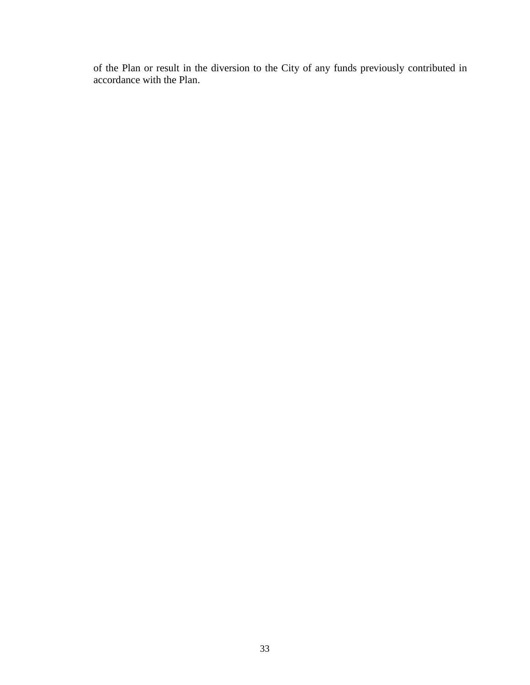of the Plan or result in the diversion to the City of any funds previously contributed in accordance with the Plan.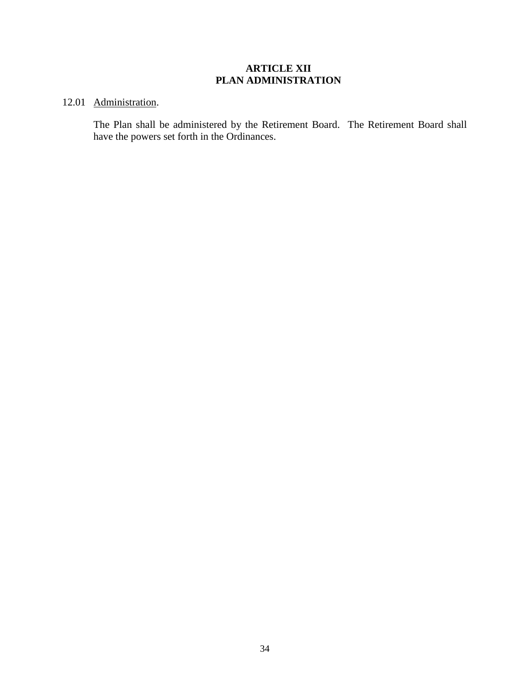## <span id="page-37-0"></span>**ARTICLE XII PLAN ADMINISTRATION**

## <span id="page-37-2"></span>12.01 Administration.

<span id="page-37-1"></span>The Plan shall be administered by the Retirement Board. The Retirement Board shall have the powers set forth in the Ordinances.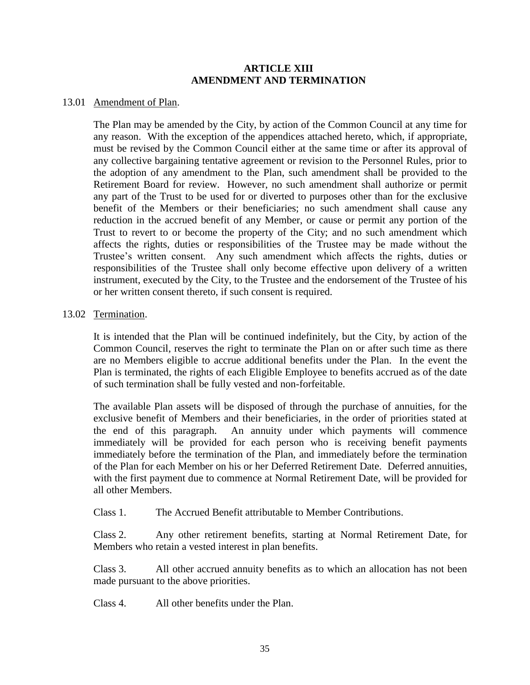### <span id="page-38-1"></span><span id="page-38-0"></span>**ARTICLE XIII AMENDMENT AND TERMINATION**

### <span id="page-38-4"></span>13.01 Amendment of Plan.

The Plan may be amended by the City, by action of the Common Council at any time for any reason. With the exception of the appendices attached hereto, which, if appropriate, must be revised by the Common Council either at the same time or after its approval of any collective bargaining tentative agreement or revision to the Personnel Rules, prior to the adoption of any amendment to the Plan, such amendment shall be provided to the Retirement Board for review. However, no such amendment shall authorize or permit any part of the Trust to be used for or diverted to purposes other than for the exclusive benefit of the Members or their beneficiaries; no such amendment shall cause any reduction in the accrued benefit of any Member, or cause or permit any portion of the Trust to revert to or become the property of the City; and no such amendment which affects the rights, duties or responsibilities of the Trustee may be made without the Trustee's written consent. Any such amendment which affects the rights, duties or responsibilities of the Trustee shall only become effective upon delivery of a written instrument, executed by the City, to the Trustee and the endorsement of the Trustee of his or her written consent thereto, if such consent is required.

### <span id="page-38-3"></span>13.02 Termination.

<span id="page-38-2"></span>It is intended that the Plan will be continued indefinitely, but the City, by action of the Common Council, reserves the right to terminate the Plan on or after such time as there are no Members eligible to accrue additional benefits under the Plan. In the event the Plan is terminated, the rights of each Eligible Employee to benefits accrued as of the date of such termination shall be fully vested and non-forfeitable.

The available Plan assets will be disposed of through the purchase of annuities, for the exclusive benefit of Members and their beneficiaries, in the order of priorities stated at the end of this paragraph. An annuity under which payments will commence immediately will be provided for each person who is receiving benefit payments immediately before the termination of the Plan, and immediately before the termination of the Plan for each Member on his or her Deferred Retirement Date. Deferred annuities, with the first payment due to commence at Normal Retirement Date, will be provided for all other Members.

Class 1. The Accrued Benefit attributable to Member Contributions.

Class 2. Any other retirement benefits, starting at Normal Retirement Date, for Members who retain a vested interest in plan benefits.

Class 3. All other accrued annuity benefits as to which an allocation has not been made pursuant to the above priorities.

Class 4. All other benefits under the Plan.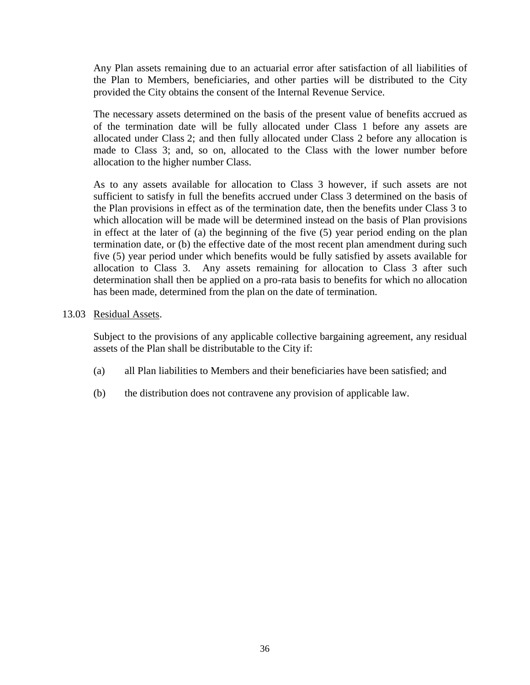Any Plan assets remaining due to an actuarial error after satisfaction of all liabilities of the Plan to Members, beneficiaries, and other parties will be distributed to the City provided the City obtains the consent of the Internal Revenue Service.

The necessary assets determined on the basis of the present value of benefits accrued as of the termination date will be fully allocated under Class 1 before any assets are allocated under Class 2; and then fully allocated under Class 2 before any allocation is made to Class 3; and, so on, allocated to the Class with the lower number before allocation to the higher number Class.

As to any assets available for allocation to Class 3 however, if such assets are not sufficient to satisfy in full the benefits accrued under Class 3 determined on the basis of the Plan provisions in effect as of the termination date, then the benefits under Class 3 to which allocation will be made will be determined instead on the basis of Plan provisions in effect at the later of (a) the beginning of the five (5) year period ending on the plan termination date, or (b) the effective date of the most recent plan amendment during such five (5) year period under which benefits would be fully satisfied by assets available for allocation to Class 3. Any assets remaining for allocation to Class 3 after such determination shall then be applied on a pro-rata basis to benefits for which no allocation has been made, determined from the plan on the date of termination.

### 13.03 Residual Assets.

<span id="page-39-0"></span>Subject to the provisions of any applicable collective bargaining agreement, any residual assets of the Plan shall be distributable to the City if:

- (a) all Plan liabilities to Members and their beneficiaries have been satisfied; and
- (b) the distribution does not contravene any provision of applicable law.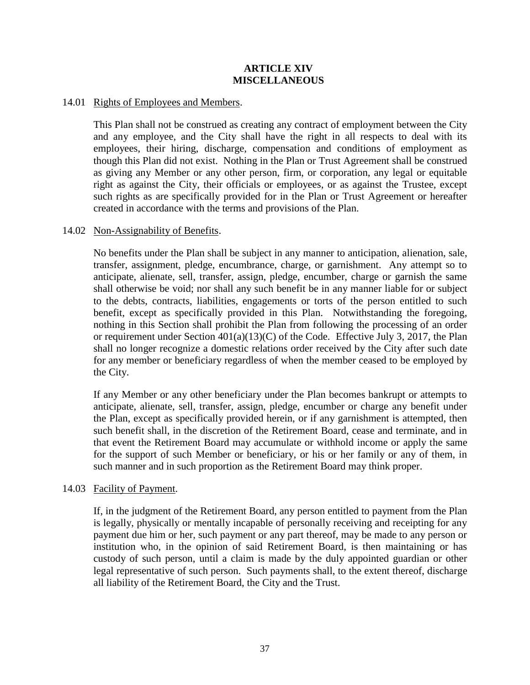## <span id="page-40-1"></span><span id="page-40-0"></span>**ARTICLE XIV MISCELLANEOUS**

### 14.01 Rights of Employees and Members.

This Plan shall not be construed as creating any contract of employment between the City and any employee, and the City shall have the right in all respects to deal with its employees, their hiring, discharge, compensation and conditions of employment as though this Plan did not exist. Nothing in the Plan or Trust Agreement shall be construed as giving any Member or any other person, firm, or corporation, any legal or equitable right as against the City, their officials or employees, or as against the Trustee, except such rights as are specifically provided for in the Plan or Trust Agreement or hereafter created in accordance with the terms and provisions of the Plan.

## 14.02 Non-Assignability of Benefits.

<span id="page-40-2"></span>No benefits under the Plan shall be subject in any manner to anticipation, alienation, sale, transfer, assignment, pledge, encumbrance, charge, or garnishment. Any attempt so to anticipate, alienate, sell, transfer, assign, pledge, encumber, charge or garnish the same shall otherwise be void; nor shall any such benefit be in any manner liable for or subject to the debts, contracts, liabilities, engagements or torts of the person entitled to such benefit, except as specifically provided in this Plan. Notwithstanding the foregoing, nothing in this Section shall prohibit the Plan from following the processing of an order or requirement under Section  $401(a)(13)(C)$  of the Code. Effective July 3, 2017, the Plan shall no longer recognize a domestic relations order received by the City after such date for any member or beneficiary regardless of when the member ceased to be employed by the City.

If any Member or any other beneficiary under the Plan becomes bankrupt or attempts to anticipate, alienate, sell, transfer, assign, pledge, encumber or charge any benefit under the Plan, except as specifically provided herein, or if any garnishment is attempted, then such benefit shall, in the discretion of the Retirement Board, cease and terminate, and in that event the Retirement Board may accumulate or withhold income or apply the same for the support of such Member or beneficiary, or his or her family or any of them, in such manner and in such proportion as the Retirement Board may think proper.

## 14.03 Facility of Payment.

<span id="page-40-3"></span>If, in the judgment of the Retirement Board, any person entitled to payment from the Plan is legally, physically or mentally incapable of personally receiving and receipting for any payment due him or her, such payment or any part thereof, may be made to any person or institution who, in the opinion of said Retirement Board, is then maintaining or has custody of such person, until a claim is made by the duly appointed guardian or other legal representative of such person. Such payments shall, to the extent thereof, discharge all liability of the Retirement Board, the City and the Trust.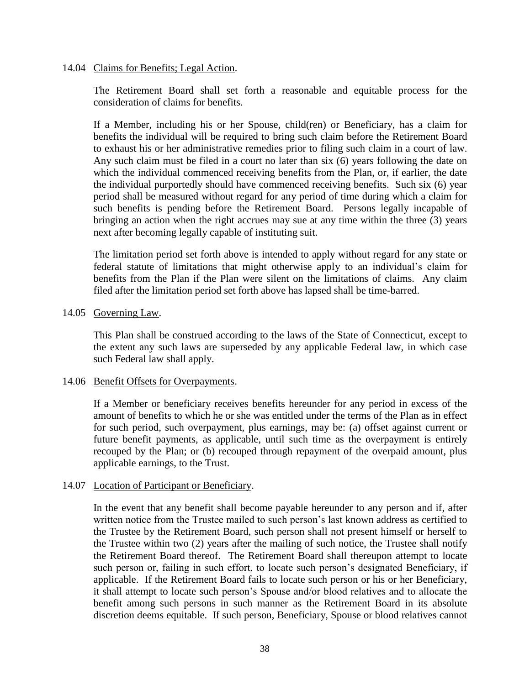#### 14.04 Claims for Benefits; Legal Action.

<span id="page-41-0"></span>The Retirement Board shall set forth a reasonable and equitable process for the consideration of claims for benefits.

If a Member, including his or her Spouse, child(ren) or Beneficiary, has a claim for benefits the individual will be required to bring such claim before the Retirement Board to exhaust his or her administrative remedies prior to filing such claim in a court of law. Any such claim must be filed in a court no later than six (6) years following the date on which the individual commenced receiving benefits from the Plan, or, if earlier, the date the individual purportedly should have commenced receiving benefits. Such six (6) year period shall be measured without regard for any period of time during which a claim for such benefits is pending before the Retirement Board. Persons legally incapable of bringing an action when the right accrues may sue at any time within the three (3) years next after becoming legally capable of instituting suit.

The limitation period set forth above is intended to apply without regard for any state or federal statute of limitations that might otherwise apply to an individual's claim for benefits from the Plan if the Plan were silent on the limitations of claims. Any claim filed after the limitation period set forth above has lapsed shall be time-barred.

### 14.05 Governing Law.

<span id="page-41-1"></span>This Plan shall be construed according to the laws of the State of Connecticut, except to the extent any such laws are superseded by any applicable Federal law, in which case such Federal law shall apply.

### 14.06 Benefit Offsets for Overpayments.

<span id="page-41-2"></span>If a Member or beneficiary receives benefits hereunder for any period in excess of the amount of benefits to which he or she was entitled under the terms of the Plan as in effect for such period, such overpayment, plus earnings, may be: (a) offset against current or future benefit payments, as applicable, until such time as the overpayment is entirely recouped by the Plan; or (b) recouped through repayment of the overpaid amount, plus applicable earnings, to the Trust.

#### 14.07 Location of Participant or Beneficiary.

<span id="page-41-3"></span>In the event that any benefit shall become payable hereunder to any person and if, after written notice from the Trustee mailed to such person's last known address as certified to the Trustee by the Retirement Board, such person shall not present himself or herself to the Trustee within two (2) years after the mailing of such notice, the Trustee shall notify the Retirement Board thereof. The Retirement Board shall thereupon attempt to locate such person or, failing in such effort, to locate such person's designated Beneficiary, if applicable. If the Retirement Board fails to locate such person or his or her Beneficiary, it shall attempt to locate such person's Spouse and/or blood relatives and to allocate the benefit among such persons in such manner as the Retirement Board in its absolute discretion deems equitable. If such person, Beneficiary, Spouse or blood relatives cannot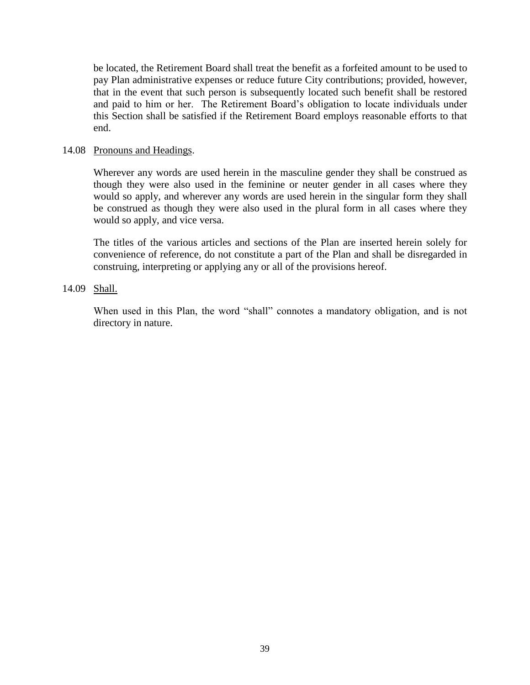be located, the Retirement Board shall treat the benefit as a forfeited amount to be used to pay Plan administrative expenses or reduce future City contributions; provided, however, that in the event that such person is subsequently located such benefit shall be restored and paid to him or her. The Retirement Board's obligation to locate individuals under this Section shall be satisfied if the Retirement Board employs reasonable efforts to that end.

### 14.08 Pronouns and Headings.

<span id="page-42-0"></span>Wherever any words are used herein in the masculine gender they shall be construed as though they were also used in the feminine or neuter gender in all cases where they would so apply, and wherever any words are used herein in the singular form they shall be construed as though they were also used in the plural form in all cases where they would so apply, and vice versa.

The titles of the various articles and sections of the Plan are inserted herein solely for convenience of reference, do not constitute a part of the Plan and shall be disregarded in construing, interpreting or applying any or all of the provisions hereof.

### 14.09 Shall.

When used in this Plan, the word "shall" connotes a mandatory obligation, and is not directory in nature.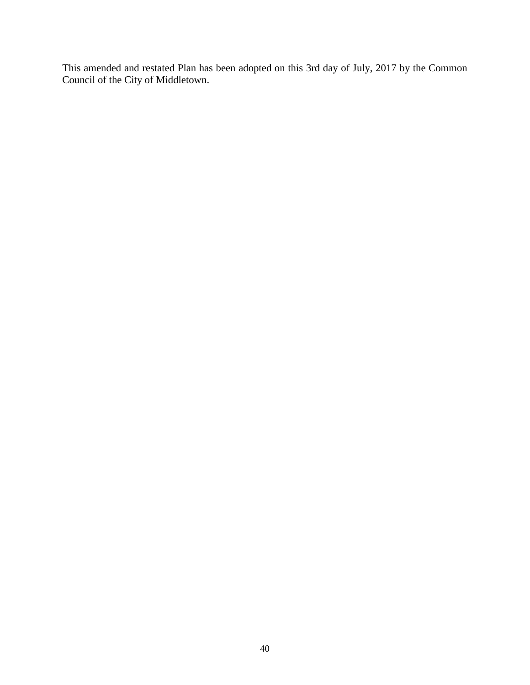This amended and restated Plan has been adopted on this 3rd day of July, 2017 by the Common Council of the City of Middletown.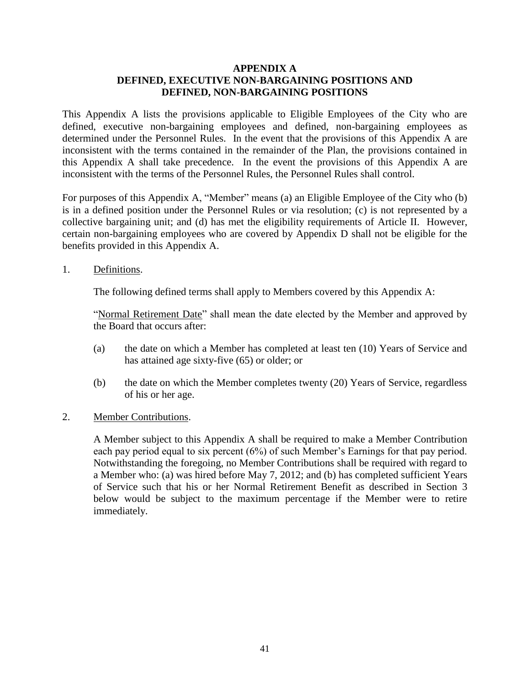## **APPENDIX A DEFINED, EXECUTIVE NON-BARGAINING POSITIONS AND DEFINED, NON-BARGAINING POSITIONS**

<span id="page-44-0"></span>This [Appendix A](#page-44-0) lists the provisions applicable to Eligible Employees of the City who are defined, executive non-bargaining employees and defined, non-bargaining employees as determined under the Personnel Rules. In the event that the provisions of this [Appendix A](#page-44-0) are inconsistent with the terms contained in the remainder of the Plan, the provisions contained in this [Appendix A](#page-44-0) shall take precedence. In the event the provisions of this [Appendix A](#page-44-0) are inconsistent with the terms of the Personnel Rules, the Personnel Rules shall control.

For purposes of this [Appendix A,](#page-44-0) "Member" means (a) an Eligible Employee of the City who (b) is in a defined position under the Personnel Rules or via resolution; (c) is not represented by a collective bargaining unit; and (d) has met the eligibility requirements of [Article II.](#page-10-4) However, certain non-bargaining employees who are covered by Appendix D shall not be eligible for the benefits provided in this Appendix A.

### 1. Definitions.

The following defined terms shall apply to Members covered by this [Appendix A:](#page-44-0)

"Normal Retirement Date" shall mean the date elected by the Member and approved by the Board that occurs after:

- (a) the date on which a Member has completed at least ten (10) Years of Service and has attained age sixty-five (65) or older; or
- (b) the date on which the Member completes twenty (20) Years of Service, regardless of his or her age.
- 2. Member Contributions.

A Member subject to this [Appendix A](#page-44-0) shall be required to make a Member Contribution each pay period equal to six percent (6%) of such Member's Earnings for that pay period. Notwithstanding the foregoing, no Member Contributions shall be required with regard to a Member who: (a) was hired before May 7, 2012; and (b) has completed sufficient Years of Service such that his or her Normal Retirement Benefit as described in Section [3](#page-45-0) below would be subject to the maximum percentage if the Member were to retire immediately.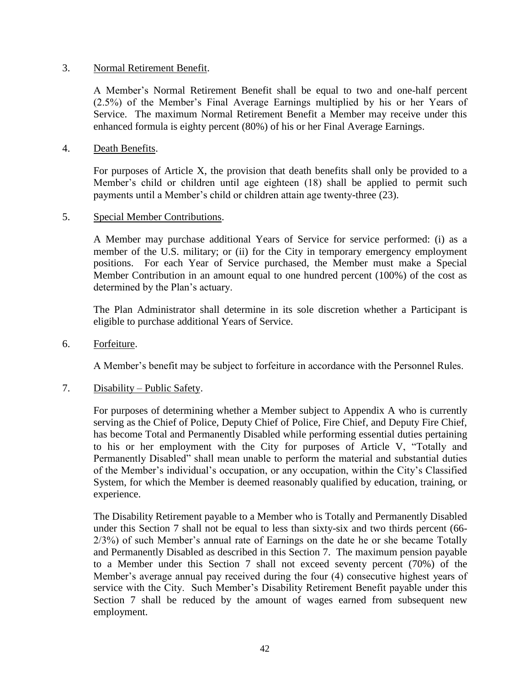### <span id="page-45-0"></span>3. Normal Retirement Benefit.

A Member's Normal Retirement Benefit shall be equal to two and one-half percent (2.5%) of the Member's Final Average Earnings multiplied by his or her Years of Service. The maximum Normal Retirement Benefit a Member may receive under this enhanced formula is eighty percent (80%) of his or her Final Average Earnings.

### 4. Death Benefits.

For purposes of [Article X,](#page-31-2) the provision that death benefits shall only be provided to a Member's child or children until age eighteen (18) shall be applied to permit such payments until a Member's child or children attain age twenty-three (23).

### 5. Special Member Contributions.

A Member may purchase additional Years of Service for service performed: (i) as a member of the U.S. military; or (ii) for the City in temporary emergency employment positions. For each Year of Service purchased, the Member must make a Special Member Contribution in an amount equal to one hundred percent (100%) of the cost as determined by the Plan's actuary.

The Plan Administrator shall determine in its sole discretion whether a Participant is eligible to purchase additional Years of Service.

6. Forfeiture.

A Member's benefit may be subject to forfeiture in accordance with the Personnel Rules.

### <span id="page-45-1"></span>7. Disability – Public Safety.

For purposes of determining whether a Member subject to [Appendix A](#page-44-0) who is currently serving as the Chief of Police, Deputy Chief of Police, Fire Chief, and Deputy Fire Chief, has become Total and Permanently Disabled while performing essential duties pertaining to his or her employment with the City for purposes of [Article V,](#page-17-7) "Totally and Permanently Disabled" shall mean unable to perform the material and substantial duties of the Member's individual's occupation, or any occupation, within the City's Classified System, for which the Member is deemed reasonably qualified by education, training, or experience.

The Disability Retirement payable to a Member who is Totally and Permanently Disabled under this Section [7](#page-45-1) shall not be equal to less than sixty-six and two thirds percent (66- 2/3%) of such Member's annual rate of Earnings on the date he or she became Totally and Permanently Disabled as described in this Section [7.](#page-45-1) The maximum pension payable to a Member under this Section [7](#page-45-1) shall not exceed seventy percent (70%) of the Member's average annual pay received during the four (4) consecutive highest years of service with the City. Such Member's Disability Retirement Benefit payable under this Section [7](#page-45-1) shall be reduced by the amount of wages earned from subsequent new employment.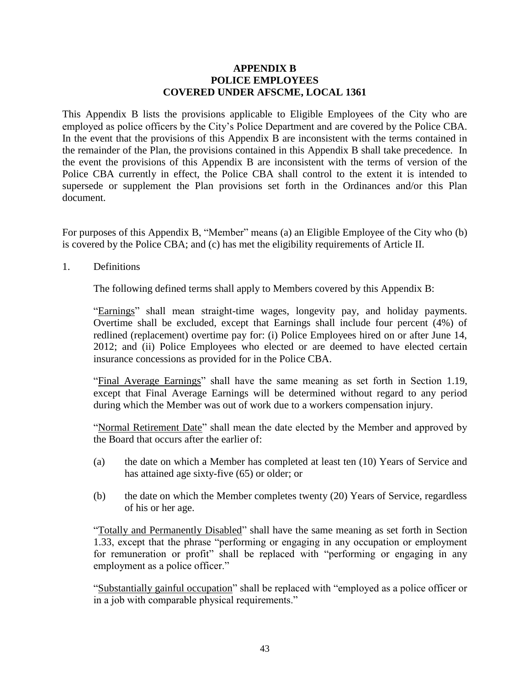### **APPENDIX B POLICE EMPLOYEES COVERED UNDER AFSCME, LOCAL 1361**

<span id="page-46-0"></span>This [Appendix B](#page-46-0) lists the provisions applicable to Eligible Employees of the City who are employed as police officers by the City's Police Department and are covered by the Police CBA. In the event that the provisions of this [Appendix B](#page-46-0) are inconsistent with the terms contained in the remainder of the Plan, the provisions contained in this [Appendix B](#page-46-0) shall take precedence. In the event the provisions of this [Appendix B](#page-46-0) are inconsistent with the terms of version of the Police CBA currently in effect, the Police CBA shall control to the extent it is intended to supersede or supplement the Plan provisions set forth in the Ordinances and/or this Plan document.

For purposes of this [Appendix B,](#page-46-0) "Member" means (a) an Eligible Employee of the City who (b) is covered by the Police CBA; and (c) has met the eligibility requirements of [Article II.](#page-10-4)

### 1. Definitions

The following defined terms shall apply to Members covered by this [Appendix B:](#page-46-0)

"Earnings" shall mean straight-time wages, longevity pay, and holiday payments. Overtime shall be excluded, except that Earnings shall include four percent (4%) of redlined (replacement) overtime pay for: (i) Police Employees hired on or after June 14, 2012; and (ii) Police Employees who elected or are deemed to have elected certain insurance concessions as provided for in the Police CBA.

"Final Average Earnings" shall have the same meaning as set forth in Section [1.19,](#page-7-11) except that Final Average Earnings will be determined without regard to any period during which the Member was out of work due to a workers compensation injury.

"Normal Retirement Date" shall mean the date elected by the Member and approved by the Board that occurs after the earlier of:

- (a) the date on which a Member has completed at least ten (10) Years of Service and has attained age sixty-five (65) or older; or
- (b) the date on which the Member completes twenty (20) Years of Service, regardless of his or her age.

"Totally and Permanently Disabled" shall have the same meaning as set forth in Section [1.33,](#page-8-12) except that the phrase "performing or engaging in any occupation or employment for remuneration or profit" shall be replaced with "performing or engaging in any employment as a police officer."

"Substantially gainful occupation" shall be replaced with "employed as a police officer or in a job with comparable physical requirements."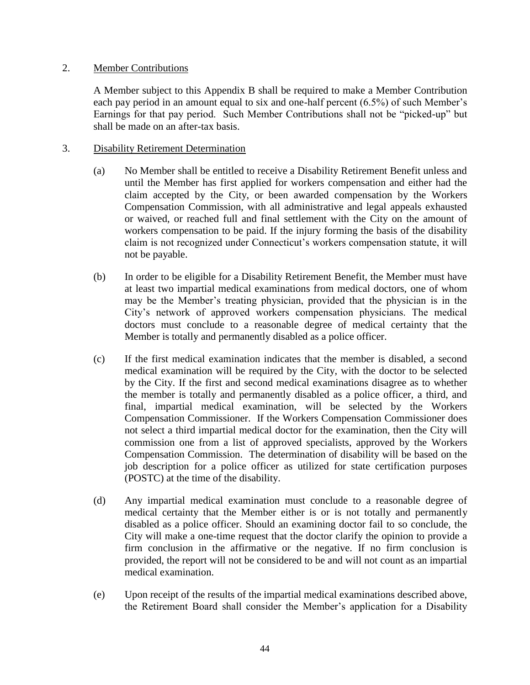### 2. Member Contributions

A Member subject to this [Appendix B](#page-46-0) shall be required to make a Member Contribution each pay period in an amount equal to six and one-half percent (6.5%) of such Member's Earnings for that pay period. Such Member Contributions shall not be "picked-up" but shall be made on an after-tax basis.

### 3. Disability Retirement Determination

- (a) No Member shall be entitled to receive a Disability Retirement Benefit unless and until the Member has first applied for workers compensation and either had the claim accepted by the City, or been awarded compensation by the Workers Compensation Commission, with all administrative and legal appeals exhausted or waived, or reached full and final settlement with the City on the amount of workers compensation to be paid. If the injury forming the basis of the disability claim is not recognized under Connecticut's workers compensation statute, it will not be payable.
- (b) In order to be eligible for a Disability Retirement Benefit, the Member must have at least two impartial medical examinations from medical doctors, one of whom may be the Member's treating physician, provided that the physician is in the City's network of approved workers compensation physicians. The medical doctors must conclude to a reasonable degree of medical certainty that the Member is totally and permanently disabled as a police officer.
- (c) If the first medical examination indicates that the member is disabled, a second medical examination will be required by the City, with the doctor to be selected by the City. If the first and second medical examinations disagree as to whether the member is totally and permanently disabled as a police officer, a third, and final, impartial medical examination, will be selected by the Workers Compensation Commissioner. If the Workers Compensation Commissioner does not select a third impartial medical doctor for the examination, then the City will commission one from a list of approved specialists, approved by the Workers Compensation Commission. The determination of disability will be based on the job description for a police officer as utilized for state certification purposes (POSTC) at the time of the disability.
- (d) Any impartial medical examination must conclude to a reasonable degree of medical certainty that the Member either is or is not totally and permanently disabled as a police officer. Should an examining doctor fail to so conclude, the City will make a one-time request that the doctor clarify the opinion to provide a firm conclusion in the affirmative or the negative. If no firm conclusion is provided, the report will not be considered to be and will not count as an impartial medical examination.
- (e) Upon receipt of the results of the impartial medical examinations described above, the Retirement Board shall consider the Member's application for a Disability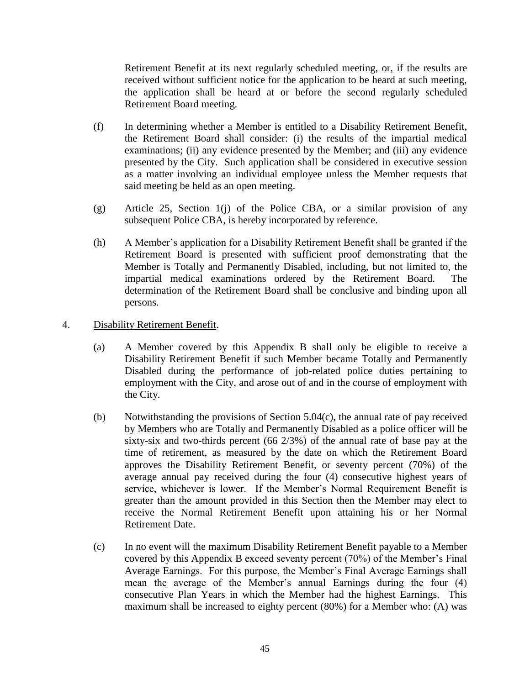Retirement Benefit at its next regularly scheduled meeting, or, if the results are received without sufficient notice for the application to be heard at such meeting, the application shall be heard at or before the second regularly scheduled Retirement Board meeting.

- (f) In determining whether a Member is entitled to a Disability Retirement Benefit, the Retirement Board shall consider: (i) the results of the impartial medical examinations; (ii) any evidence presented by the Member; and (iii) any evidence presented by the City. Such application shall be considered in executive session as a matter involving an individual employee unless the Member requests that said meeting be held as an open meeting.
- (g) Article 25, Section 1(j) of the Police CBA, or a similar provision of any subsequent Police CBA, is hereby incorporated by reference.
- (h) A Member's application for a Disability Retirement Benefit shall be granted if the Retirement Board is presented with sufficient proof demonstrating that the Member is Totally and Permanently Disabled, including, but not limited to, the impartial medical examinations ordered by the Retirement Board. The determination of the Retirement Board shall be conclusive and binding upon all persons.
- 4. Disability Retirement Benefit.
	- (a) A Member covered by this [Appendix B](#page-46-0) shall only be eligible to receive a Disability Retirement Benefit if such Member became Totally and Permanently Disabled during the performance of job-related police duties pertaining to employment with the City, and arose out of and in the course of employment with the City.
	- (b) Notwithstanding the provisions of Section [5.04\(c\),](#page-18-3) the annual rate of pay received by Members who are Totally and Permanently Disabled as a police officer will be sixty-six and two-thirds percent (66 2/3%) of the annual rate of base pay at the time of retirement, as measured by the date on which the Retirement Board approves the Disability Retirement Benefit, or seventy percent (70%) of the average annual pay received during the four (4) consecutive highest years of service, whichever is lower. If the Member's Normal Requirement Benefit is greater than the amount provided in this Section then the Member may elect to receive the Normal Retirement Benefit upon attaining his or her Normal Retirement Date.
	- (c) In no event will the maximum Disability Retirement Benefit payable to a Member covered by this [Appendix B](#page-46-0) exceed seventy percent (70%) of the Member's Final Average Earnings. For this purpose, the Member's Final Average Earnings shall mean the average of the Member's annual Earnings during the four (4) consecutive Plan Years in which the Member had the highest Earnings. This maximum shall be increased to eighty percent (80%) for a Member who: (A) was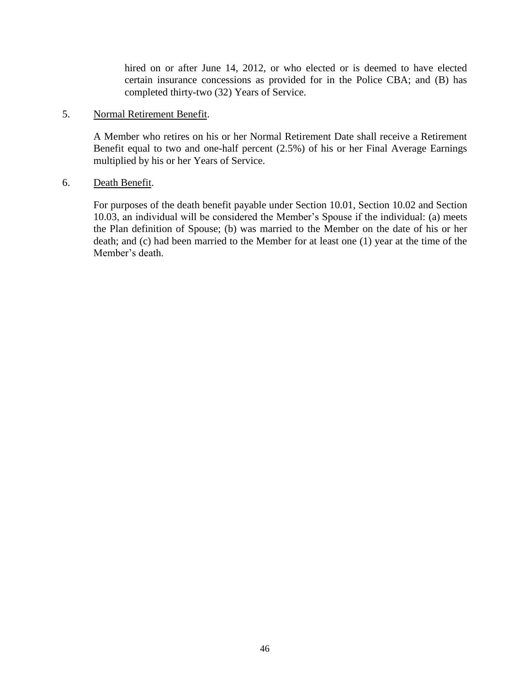hired on or after June 14, 2012, or who elected or is deemed to have elected certain insurance concessions as provided for in the Police CBA; and (B) has completed thirty-two (32) Years of Service.

### 5. Normal Retirement Benefit.

A Member who retires on his or her Normal Retirement Date shall receive a Retirement Benefit equal to two and one-half percent (2.5%) of his or her Final Average Earnings multiplied by his or her Years of Service.

### 6. Death Benefit.

For purposes of the death benefit payable under Section [10.01,](#page-31-8) Section [10.02](#page-32-5) and Section [10.03,](#page-33-2) an individual will be considered the Member's Spouse if the individual: (a) meets the Plan definition of Spouse; (b) was married to the Member on the date of his or her death; and (c) had been married to the Member for at least one (1) year at the time of the Member's death.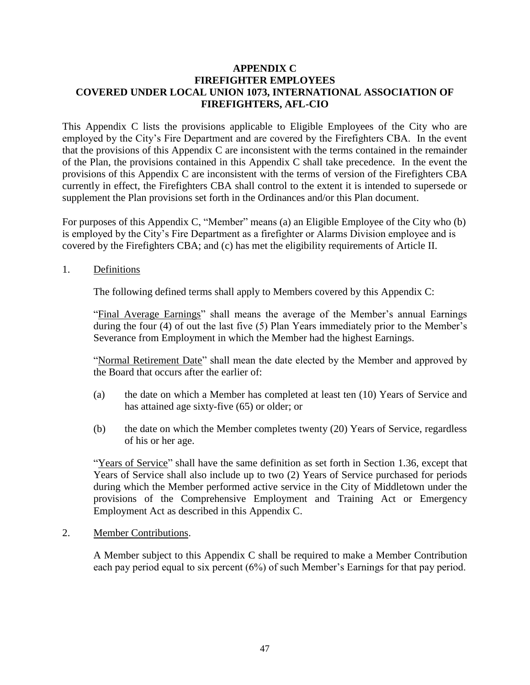### <span id="page-50-0"></span>**APPENDIX C FIREFIGHTER EMPLOYEES COVERED UNDER LOCAL UNION 1073, INTERNATIONAL ASSOCIATION OF FIREFIGHTERS, AFL-CIO**

This [Appendix C](#page-50-0) lists the provisions applicable to Eligible Employees of the City who are employed by the City's Fire Department and are covered by the Firefighters CBA. In the event that the provisions of this [Appendix C](#page-50-0) are inconsistent with the terms contained in the remainder of the Plan, the provisions contained in this [Appendix C](#page-50-0) shall take precedence. In the event the provisions of this [Appendix C](#page-50-0) are inconsistent with the terms of version of the Firefighters CBA currently in effect, the Firefighters CBA shall control to the extent it is intended to supersede or supplement the Plan provisions set forth in the Ordinances and/or this Plan document.

For purposes of this [Appendix C,](#page-50-0) "Member" means (a) an Eligible Employee of the City who (b) is employed by the City's Fire Department as a firefighter or Alarms Division employee and is covered by the Firefighters CBA; and (c) has met the eligibility requirements of [Article II.](#page-10-4)

1. Definitions

The following defined terms shall apply to Members covered by this Appendix C:

"Final Average Earnings" shall means the average of the Member's annual Earnings during the four (4) of out the last five (5) Plan Years immediately prior to the Member's Severance from Employment in which the Member had the highest Earnings.

"Normal Retirement Date" shall mean the date elected by the Member and approved by the Board that occurs after the earlier of:

- (a) the date on which a Member has completed at least ten (10) Years of Service and has attained age sixty-five (65) or older; or
- (b) the date on which the Member completes twenty (20) Years of Service, regardless of his or her age.

"Years of Service" shall have the same definition as set forth in Section [1.36,](#page-8-13) except that Years of Service shall also include up to two (2) Years of Service purchased for periods during which the Member performed active service in the City of Middletown under the provisions of the Comprehensive Employment and Training Act or Emergency Employment Act as described in this [Appendix C.](#page-50-0)

2. Member Contributions.

A Member subject to this [Appendix C](#page-50-0) shall be required to make a Member Contribution each pay period equal to six percent (6%) of such Member's Earnings for that pay period.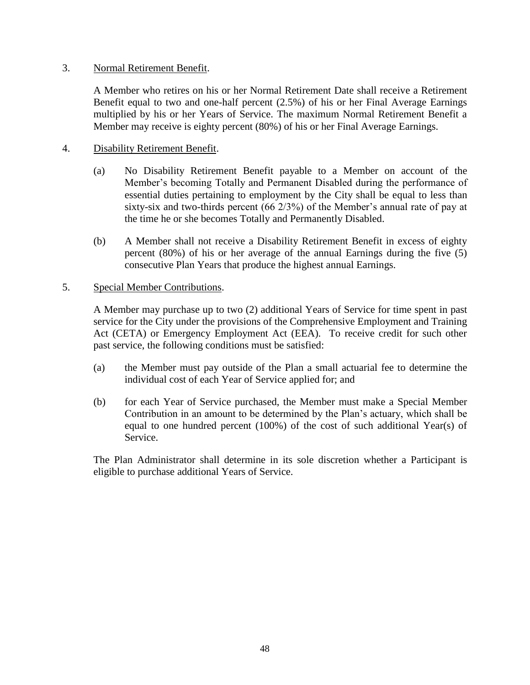### 3. Normal Retirement Benefit.

A Member who retires on his or her Normal Retirement Date shall receive a Retirement Benefit equal to two and one-half percent (2.5%) of his or her Final Average Earnings multiplied by his or her Years of Service. The maximum Normal Retirement Benefit a Member may receive is eighty percent (80%) of his or her Final Average Earnings.

## 4. Disability Retirement Benefit.

- (a) No Disability Retirement Benefit payable to a Member on account of the Member's becoming Totally and Permanent Disabled during the performance of essential duties pertaining to employment by the City shall be equal to less than sixty-six and two-thirds percent (66 2/3%) of the Member's annual rate of pay at the time he or she becomes Totally and Permanently Disabled.
- (b) A Member shall not receive a Disability Retirement Benefit in excess of eighty percent (80%) of his or her average of the annual Earnings during the five (5) consecutive Plan Years that produce the highest annual Earnings.

### 5. Special Member Contributions.

A Member may purchase up to two (2) additional Years of Service for time spent in past service for the City under the provisions of the Comprehensive Employment and Training Act (CETA) or Emergency Employment Act (EEA). To receive credit for such other past service, the following conditions must be satisfied:

- (a) the Member must pay outside of the Plan a small actuarial fee to determine the individual cost of each Year of Service applied for; and
- (b) for each Year of Service purchased, the Member must make a Special Member Contribution in an amount to be determined by the Plan's actuary, which shall be equal to one hundred percent (100%) of the cost of such additional Year(s) of Service.

The Plan Administrator shall determine in its sole discretion whether a Participant is eligible to purchase additional Years of Service.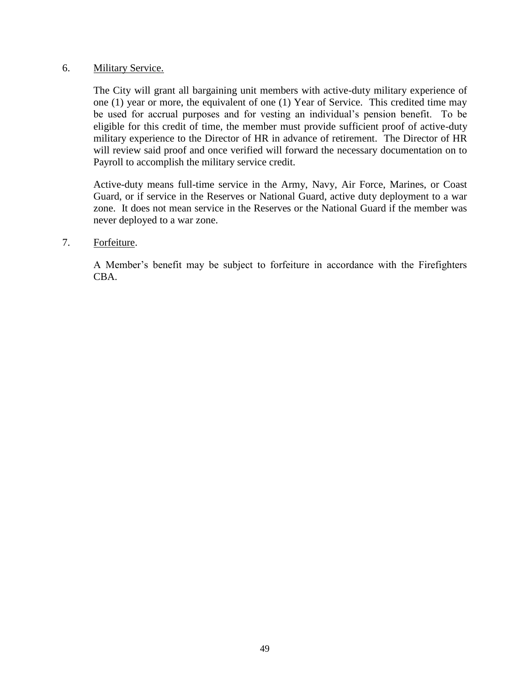### 6. Military Service.

The City will grant all bargaining unit members with active-duty military experience of one (1) year or more, the equivalent of one (1) Year of Service. This credited time may be used for accrual purposes and for vesting an individual's pension benefit. To be eligible for this credit of time, the member must provide sufficient proof of active-duty military experience to the Director of HR in advance of retirement. The Director of HR will review said proof and once verified will forward the necessary documentation on to Payroll to accomplish the military service credit.

Active-duty means full-time service in the Army, Navy, Air Force, Marines, or Coast Guard, or if service in the Reserves or National Guard, active duty deployment to a war zone. It does not mean service in the Reserves or the National Guard if the member was never deployed to a war zone.

### 7. Forfeiture.

A Member's benefit may be subject to forfeiture in accordance with the Firefighters CBA.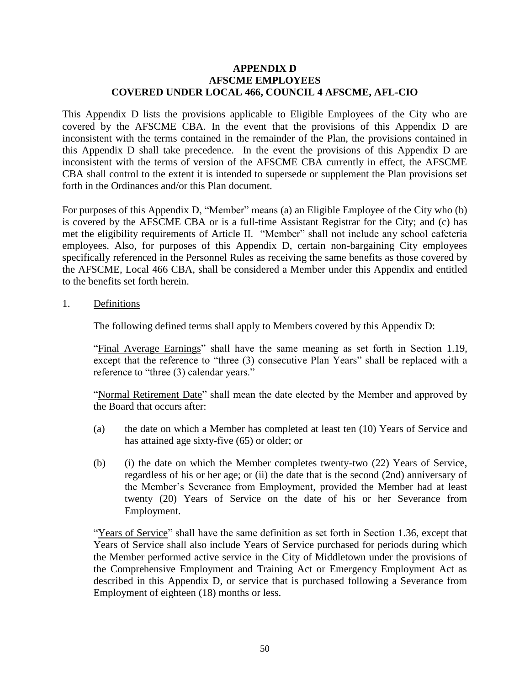### **APPENDIX D AFSCME EMPLOYEES COVERED UNDER LOCAL 466, COUNCIL 4 AFSCME, AFL-CIO**

<span id="page-53-0"></span>This [Appendix D](#page-53-0) lists the provisions applicable to Eligible Employees of the City who are covered by the AFSCME CBA. In the event that the provisions of this [Appendix D](#page-53-0) are inconsistent with the terms contained in the remainder of the Plan, the provisions contained in this [Appendix D](#page-53-0) shall take precedence. In the event the provisions of this [Appendix D](#page-53-0) are inconsistent with the terms of version of the AFSCME CBA currently in effect, the AFSCME CBA shall control to the extent it is intended to supersede or supplement the Plan provisions set forth in the Ordinances and/or this Plan document.

For purposes of this [Appendix D,](#page-53-0) "Member" means (a) an Eligible Employee of the City who (b) is covered by the AFSCME CBA or is a full-time Assistant Registrar for the City; and (c) has met the eligibility requirements of [Article II.](#page-10-4) "Member" shall not include any school cafeteria employees. Also, for purposes of this Appendix D, certain non-bargaining City employees specifically referenced in the Personnel Rules as receiving the same benefits as those covered by the AFSCME, Local 466 CBA, shall be considered a Member under this Appendix and entitled to the benefits set forth herein.

1. Definitions

The following defined terms shall apply to Members covered by this [Appendix D:](#page-53-0)

"Final Average Earnings" shall have the same meaning as set forth in Section [1.19,](#page-7-11) except that the reference to "three (3) consecutive Plan Years" shall be replaced with a reference to "three (3) calendar years."

"Normal Retirement Date" shall mean the date elected by the Member and approved by the Board that occurs after:

- (a) the date on which a Member has completed at least ten (10) Years of Service and has attained age sixty-five (65) or older; or
- (b) (i) the date on which the Member completes twenty-two (22) Years of Service, regardless of his or her age; or (ii) the date that is the second (2nd) anniversary of the Member's Severance from Employment, provided the Member had at least twenty (20) Years of Service on the date of his or her Severance from Employment.

"Years of Service" shall have the same definition as set forth in Section [1.36,](#page-8-13) except that Years of Service shall also include Years of Service purchased for periods during which the Member performed active service in the City of Middletown under the provisions of the Comprehensive Employment and Training Act or Emergency Employment Act as described in this [Appendix D,](#page-53-0) or service that is purchased following a Severance from Employment of eighteen (18) months or less.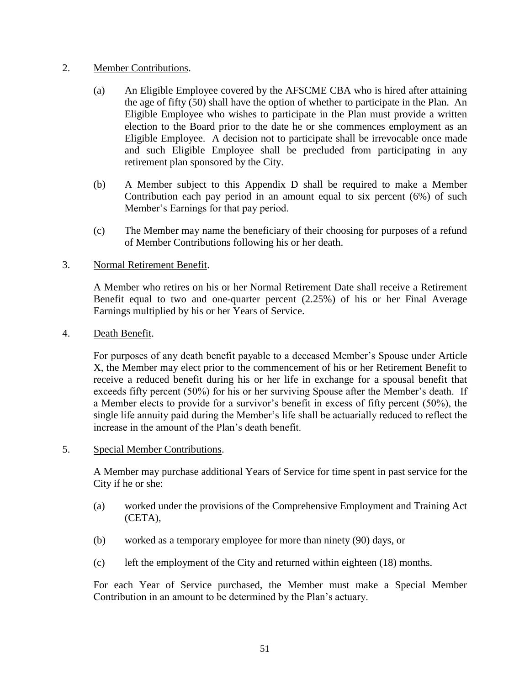## 2. Member Contributions.

- (a) An Eligible Employee covered by the AFSCME CBA who is hired after attaining the age of fifty (50) shall have the option of whether to participate in the Plan. An Eligible Employee who wishes to participate in the Plan must provide a written election to the Board prior to the date he or she commences employment as an Eligible Employee. A decision not to participate shall be irrevocable once made and such Eligible Employee shall be precluded from participating in any retirement plan sponsored by the City.
- (b) A Member subject to this [Appendix D](#page-53-0) shall be required to make a Member Contribution each pay period in an amount equal to six percent (6%) of such Member's Earnings for that pay period.
- (c) The Member may name the beneficiary of their choosing for purposes of a refund of Member Contributions following his or her death.

## 3. Normal Retirement Benefit.

A Member who retires on his or her Normal Retirement Date shall receive a Retirement Benefit equal to two and one-quarter percent (2.25%) of his or her Final Average Earnings multiplied by his or her Years of Service.

4. Death Benefit.

For purposes of any death benefit payable to a deceased Member's Spouse under [Article](#page-31-2)  [X,](#page-31-2) the Member may elect prior to the commencement of his or her Retirement Benefit to receive a reduced benefit during his or her life in exchange for a spousal benefit that exceeds fifty percent (50%) for his or her surviving Spouse after the Member's death. If a Member elects to provide for a survivor's benefit in excess of fifty percent (50%), the single life annuity paid during the Member's life shall be actuarially reduced to reflect the increase in the amount of the Plan's death benefit.

5. Special Member Contributions.

A Member may purchase additional Years of Service for time spent in past service for the City if he or she:

- (a) worked under the provisions of the Comprehensive Employment and Training Act (CETA),
- (b) worked as a temporary employee for more than ninety (90) days, or
- (c) left the employment of the City and returned within eighteen (18) months.

For each Year of Service purchased, the Member must make a Special Member Contribution in an amount to be determined by the Plan's actuary.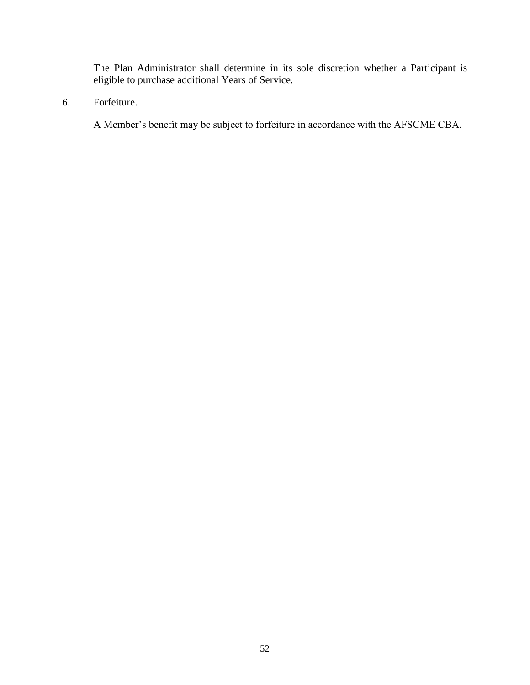The Plan Administrator shall determine in its sole discretion whether a Participant is eligible to purchase additional Years of Service.

6. Forfeiture.

A Member's benefit may be subject to forfeiture in accordance with the AFSCME CBA.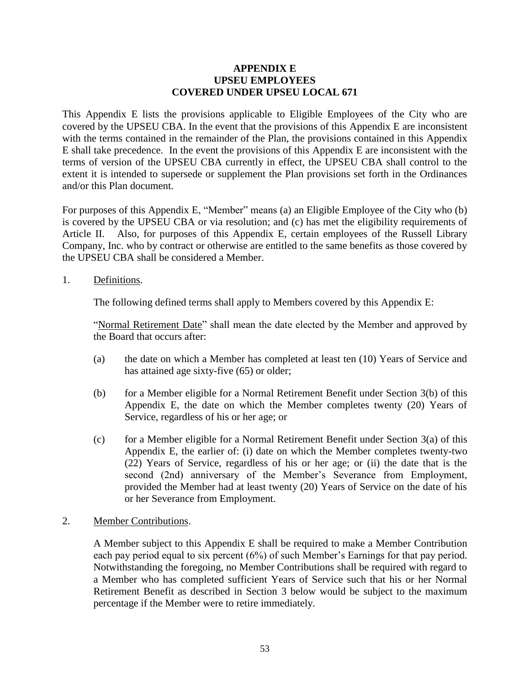### **APPENDIX E UPSEU EMPLOYEES COVERED UNDER UPSEU LOCAL 671**

<span id="page-56-0"></span>This [Appendix E](#page-56-0) lists the provisions applicable to Eligible Employees of the City who are covered by the UPSEU CBA. In the event that the provisions of this [Appendix E](#page-56-0) are inconsistent with the terms contained in the remainder of the Plan, the provisions contained in this [Appendix](#page-56-0)  [E](#page-56-0) shall take precedence. In the event the provisions of this [Appendix E](#page-56-0) are inconsistent with the terms of version of the UPSEU CBA currently in effect, the UPSEU CBA shall control to the extent it is intended to supersede or supplement the Plan provisions set forth in the Ordinances and/or this Plan document.

For purposes of this [Appendix E,](#page-56-0) "Member" means (a) an Eligible Employee of the City who (b) is covered by the UPSEU CBA or via resolution; and (c) has met the eligibility requirements of [Article II.](#page-10-4) Also, for purposes of this Appendix E, certain employees of the Russell Library Company, Inc. who by contract or otherwise are entitled to the same benefits as those covered by the UPSEU CBA shall be considered a Member.

1. Definitions.

The following defined terms shall apply to Members covered by this [Appendix E:](#page-56-0)

"Normal Retirement Date" shall mean the date elected by the Member and approved by the Board that occurs after:

- (a) the date on which a Member has completed at least ten (10) Years of Service and has attained age sixty-five (65) or older;
- (b) for a Member eligible for a Normal Retirement Benefit under Section [3\(b\)](#page-57-0) of this [Appendix E,](#page-56-0) the date on which the Member completes twenty (20) Years of Service, regardless of his or her age; or
- (c) for a Member eligible for a Normal Retirement Benefit under Section  $3(a)$  of this [Appendix E,](#page-56-0) the earlier of: (i) date on which the Member completes twenty-two (22) Years of Service, regardless of his or her age; or (ii) the date that is the second (2nd) anniversary of the Member's Severance from Employment, provided the Member had at least twenty (20) Years of Service on the date of his or her Severance from Employment.

### 2. Member Contributions.

A Member subject to this [Appendix E](#page-56-0) shall be required to make a Member Contribution each pay period equal to six percent (6%) of such Member's Earnings for that pay period. Notwithstanding the foregoing, no Member Contributions shall be required with regard to a Member who has completed sufficient Years of Service such that his or her Normal Retirement Benefit as described in Section [3](#page-57-0) below would be subject to the maximum percentage if the Member were to retire immediately.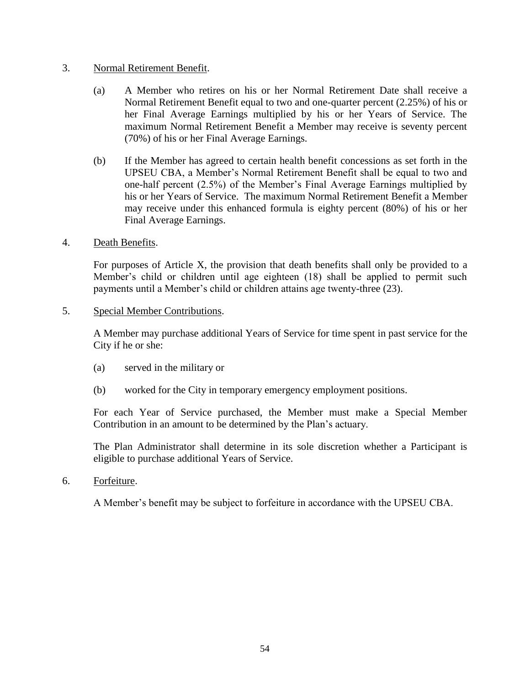### <span id="page-57-0"></span>3. Normal Retirement Benefit.

- (a) A Member who retires on his or her Normal Retirement Date shall receive a Normal Retirement Benefit equal to two and one-quarter percent (2.25%) of his or her Final Average Earnings multiplied by his or her Years of Service. The maximum Normal Retirement Benefit a Member may receive is seventy percent (70%) of his or her Final Average Earnings.
- (b) If the Member has agreed to certain health benefit concessions as set forth in the UPSEU CBA, a Member's Normal Retirement Benefit shall be equal to two and one-half percent (2.5%) of the Member's Final Average Earnings multiplied by his or her Years of Service. The maximum Normal Retirement Benefit a Member may receive under this enhanced formula is eighty percent (80%) of his or her Final Average Earnings.
- 4. Death Benefits.

For purposes of [Article X,](#page-31-2) the provision that death benefits shall only be provided to a Member's child or children until age eighteen (18) shall be applied to permit such payments until a Member's child or children attains age twenty-three (23).

5. Special Member Contributions.

A Member may purchase additional Years of Service for time spent in past service for the City if he or she:

- (a) served in the military or
- (b) worked for the City in temporary emergency employment positions.

For each Year of Service purchased, the Member must make a Special Member Contribution in an amount to be determined by the Plan's actuary.

The Plan Administrator shall determine in its sole discretion whether a Participant is eligible to purchase additional Years of Service.

6. Forfeiture.

A Member's benefit may be subject to forfeiture in accordance with the UPSEU CBA.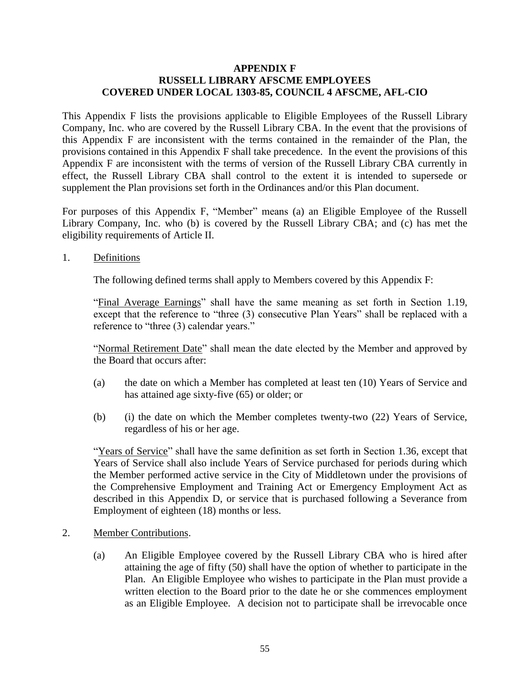### **APPENDIX F RUSSELL LIBRARY AFSCME EMPLOYEES COVERED UNDER LOCAL 1303-85, COUNCIL 4 AFSCME, AFL-CIO**

This Appendix F lists the provisions applicable to Eligible Employees of the Russell Library Company, Inc. who are covered by the Russell Library CBA. In the event that the provisions of this Appendix F are inconsistent with the terms contained in the remainder of the Plan, the provisions contained in this Appendix F shall take precedence. In the event the provisions of this Appendix F are inconsistent with the terms of version of the Russell Library CBA currently in effect, the Russell Library CBA shall control to the extent it is intended to supersede or supplement the Plan provisions set forth in the Ordinances and/or this Plan document.

For purposes of this Appendix F, "Member" means (a) an Eligible Employee of the Russell Library Company, Inc. who (b) is covered by the Russell Library CBA; and (c) has met the eligibility requirements of [Article II.](#page-10-4)

1. Definitions

The following defined terms shall apply to Members covered by this Appendix F:

"Final Average Earnings" shall have the same meaning as set forth in Section [1.19,](#page-7-11) except that the reference to "three (3) consecutive Plan Years" shall be replaced with a reference to "three (3) calendar years."

"Normal Retirement Date" shall mean the date elected by the Member and approved by the Board that occurs after:

- (a) the date on which a Member has completed at least ten (10) Years of Service and has attained age sixty-five (65) or older; or
- (b) (i) the date on which the Member completes twenty-two (22) Years of Service, regardless of his or her age.

"Years of Service" shall have the same definition as set forth in Section [1.36,](#page-8-13) except that Years of Service shall also include Years of Service purchased for periods during which the Member performed active service in the City of Middletown under the provisions of the Comprehensive Employment and Training Act or Emergency Employment Act as described in this [Appendix D,](#page-53-0) or service that is purchased following a Severance from Employment of eighteen (18) months or less.

- 2. Member Contributions.
	- (a) An Eligible Employee covered by the Russell Library CBA who is hired after attaining the age of fifty (50) shall have the option of whether to participate in the Plan. An Eligible Employee who wishes to participate in the Plan must provide a written election to the Board prior to the date he or she commences employment as an Eligible Employee. A decision not to participate shall be irrevocable once